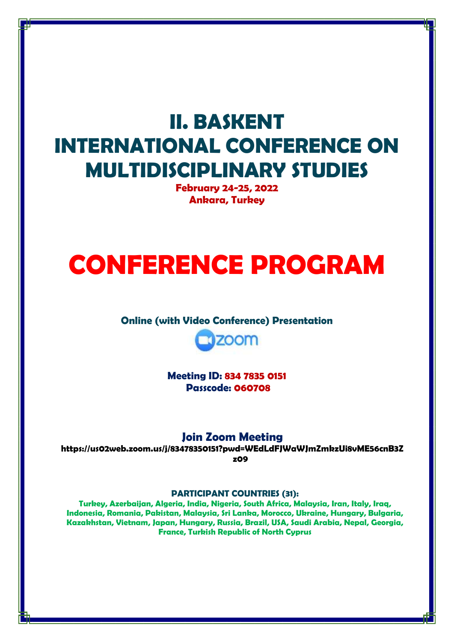# **II. BASKENT INTERNATIONAL CONFERENCE ON MULTIDISCIPLINARY STUDIES**

**February 24-25, 2022 Ankara, Turkey**

# **CONFERENCE PROGRAM**

#### **Online (with Video Conference) Presentation**



**Meeting ID: 834 7835 0151 Passcode: 060708**

## **Join Zoom Meeting**

**https://us02web.zoom.us/j/83478350151?pwd=WEdLdFJWaWJmZmkzUi8vME56cnB3Z z09**

#### **PARTICIPANT COUNTRIES (31):**

**Turkey, Azerbaijan, Algeria, India, Nigeria, South Africa, Malaysia, Iran, Italy, Iraq, Indonesia, Romania, Pakistan, Malaysia, Sri Lanka, Morocco, Ukraine, Hungary, Bulgaria, Kazakhstan, Vietnam, Japan, Hungary, Russia, Brazil, USA, Saudi Arabia, Nepal, Georgia, France, Turkish Republic of North Cyprus**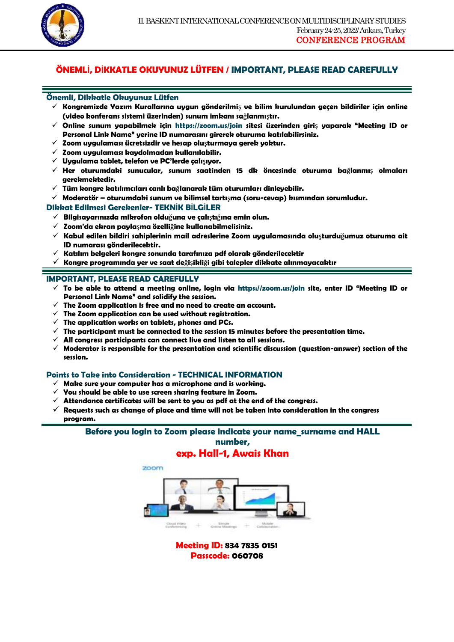

## **ÖNEMLİ, DİKKATLE OKUYUNUZ LÜTFEN / IMPORTANT, PLEASE READ CAREFULLY**

1

#### **Önemli, Dikkatle Okuyunuz Lütfen**

- **Kongremizde Yazım Kurallarına uygun gönderilmi**ş **ve bilim kurulundan geçen bildiriler için online (video konferans sistemi üzerinden) sunum imkanı sa**ğ**lanmı**ş**tır.**
- **Online sunum yapabilmek için https://zoom.us/join sitesi üzerinden giri**ş **yaparak "Meeting ID or Personal Link Name" yerine ID numarasını girerek oturuma katılabilirsiniz.**
- **Zoom uygulaması ücretsizdir ve hesap olu**ş**turmaya gerek yoktur.**
- **Zoom uygulaması kaydolmadan kullanılabilir.**
- **Uygulama tablet, telefon ve PC'lerde çalı**ş**ıyor.**
- **Her oturumdaki sunucular, sunum saatinden 15 dk öncesinde oturuma ba**ğ**lanmı**ş **olmaları gerekmektedir.**
- **Tüm kongre katılımcıları canlı ba**ğ**lanarak tüm oturumları dinleyebilir.**
- **Moderatör – oturumdaki sunum ve bilimsel tartı**ş**ma (soru-cevap) kısmından sorumludur.**

#### **Dikkat Edilmesi Gerekenler- TEKNİK BİLGİLER**

- **Bilgisayarınızda mikrofon oldu**ğ**una ve çalı**ş**tı**ğ**ına emin olun.**
- **Zoom'da ekran payla**ş**ma özelli**ğ**ine kullanabilmelisiniz.**
- **Kabul edilen bildiri sahiplerinin mail adreslerine Zoom uygulamasında olu**ş**turdu**ğ**umuz oturuma ait ID numarası gönderilecektir.**
- **Katılım belgeleri kongre sonunda tarafınıza pdf olarak gönderilecektir**
- **Kongre programında yer ve saat de**ğ**i**ş**ikli**ğ**i gibi talepler dikkate alınmayacaktır**

#### **IMPORTANT, PLEASE READ CAREFULLY**

- **To be able to attend a meeting online, login via https://zoom.us/join site, enter ID "Meeting ID or Personal Link Name" and solidify the session.**
- $\checkmark$  The Zoom application is free and no need to create an account.
- **The Zoom application can be used without registration.**
- $\checkmark$  The application works on tablets, phones and PCs.
- **The participant must be connected to the session 15 minutes before the presentation time.**
- **All congress participants can connect live and listen to all sessions.**
- **Moderator is responsible for the presentation and scientific discussion (question-answer) section of the session.**

#### **Points to Take into Consideration - TECHNICAL INFORMATION**

- **Make sure your computer has a microphone and is working.**
- **You should be able to use screen sharing feature in Zoom.**
- $\checkmark$  Attendance certificates will be sent to you as pdf at the end of the congress.
- $\checkmark$  Requests such as change of place and time will not be taken into consideration in the congress **program.**

#### **Before you login to Zoom please indicate your name\_surname and HALL number,**

#### **exp. Hall-1, Awais Khan**



**Meeting ID: 834 7835 0151 Passcode: 060708**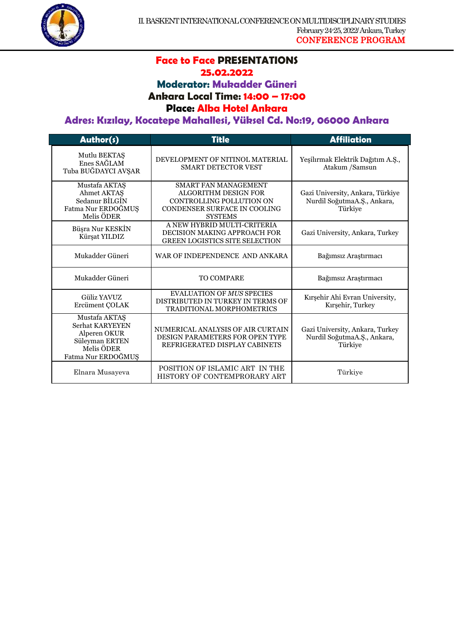

# **Face to Face PRESENTATIONS**

1

#### **25.02.2022**

**Moderator: Mukadder Güneri**

#### **Ankara Local Time: 14:00 – 17:00**

#### **Place: Alba Hotel Ankara**

#### **Adres: Kızılay, Kocatepe Mahallesi, Yüksel Cd. No:19, 06000 Ankara**

| Author(s)                                                                                              | <b>Title</b>                                                                                                                             | <b>Affiliation</b>                                                         |
|--------------------------------------------------------------------------------------------------------|------------------------------------------------------------------------------------------------------------------------------------------|----------------------------------------------------------------------------|
| Mutlu BEKTAŞ<br>Enes SAĞLAM<br>Tuba BUĞDAYCI AVŞAR                                                     | DEVELOPMENT OF NITINOL MATERIAL<br><b>SMART DETECTOR VEST</b>                                                                            | Yeşilırmak Elektrik Dağıtım A.Ş.,<br>Atakum / Samsun                       |
| Mustafa AKTAŞ<br>Ahmet AKTAŞ<br>Sedanur BİLGİN<br>Fatma Nur ERDOĞMUŞ<br>Melis ÖDER                     | <b>SMART FAN MANAGEMENT</b><br><b>ALGORITHM DESIGN FOR</b><br>CONTROLLING POLLUTION ON<br>CONDENSER SURFACE IN COOLING<br><b>SYSTEMS</b> | Gazi University, Ankara, Türkiye<br>Nurdil SoğutmaA.Ş., Ankara,<br>Türkiye |
| Büşra Nur KESKİN<br>Kürşat YILDIZ                                                                      | A NEW HYBRID MULTI-CRITERIA<br>DECISION MAKING APPROACH FOR<br><b>GREEN LOGISTICS SITE SELECTION</b>                                     | Gazi University, Ankara, Turkey                                            |
| Mukadder Güneri                                                                                        | WAR OF INDEPENDENCE AND ANKARA                                                                                                           | Bağımsız Araştırmacı                                                       |
| Mukadder Güneri                                                                                        | <b>TO COMPARE</b>                                                                                                                        | Bağımsız Araştırmacı                                                       |
| <b>Güliz YAVUZ</b><br>Ercüment ÇOLAK                                                                   | <b>EVALUATION OF MUS SPECIES</b><br>DISTRIBUTED IN TURKEY IN TERMS OF<br><b>TRADITIONAL MORPHOMETRICS</b>                                | Kırşehir Ahi Evran University,<br>Kırşehir, Turkey                         |
| Mustafa AKTAŞ<br>Serhat KARYEYEN<br>Alperen OKUR<br>Süleyman ERTEN<br>Melis ÖDER<br>Fatma Nur ERDOĞMUŞ | NUMERICAL ANALYSIS OF AIR CURTAIN<br>DESIGN PARAMETERS FOR OPEN TYPE<br>REFRIGERATED DISPLAY CABINETS                                    | Gazi University, Ankara, Turkey<br>Nurdil SoğutmaA.Ş., Ankara,<br>Türkiye  |
| Elnara Musayeva                                                                                        | POSITION OF ISLAMIC ART IN THE<br>HISTORY OF CONTEMPRORARY ART                                                                           | Türkiye                                                                    |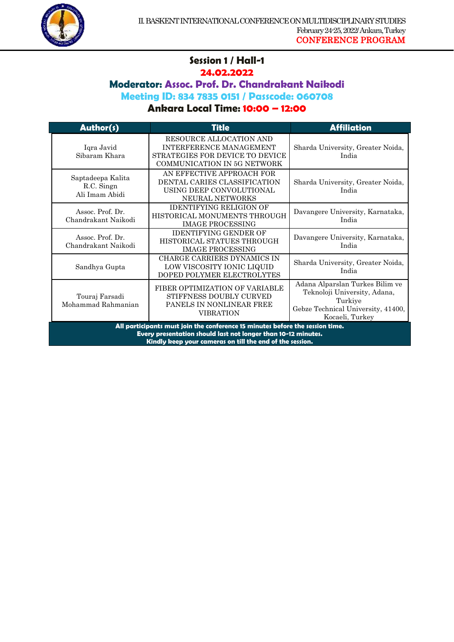

#### **Session 1 / Hall-1 24.02.2022**

1

## **Moderator: Assoc. Prof. Dr. Chandrakant Naikodi**

**Meeting ID: 834 7835 0151 / Passcode: 060708**

| <b>Author(s)</b>                                                                                                                                                                                           | <b>Title</b>                                                                                                         | <b>Affiliation</b>                                                                                                                  |
|------------------------------------------------------------------------------------------------------------------------------------------------------------------------------------------------------------|----------------------------------------------------------------------------------------------------------------------|-------------------------------------------------------------------------------------------------------------------------------------|
| Iqra Javid<br>Sibaram Khara                                                                                                                                                                                | RESOURCE ALLOCATION AND<br>INTERFERENCE MANAGEMENT<br>STRATEGIES FOR DEVICE TO DEVICE<br>COMMUNICATION IN 5G NETWORK | Sharda University, Greater Noida,<br>India                                                                                          |
| Saptadeepa Kalita<br>R.C. Singn<br>Ali Imam Abidi                                                                                                                                                          | AN EFFECTIVE APPROACH FOR<br>DENTAL CARIES CLASSIFICATION<br>USING DEEP CONVOLUTIONAL<br>NEURAL NETWORKS             | Sharda University, Greater Noida,<br>India                                                                                          |
| Assoc. Prof. Dr.<br>Chandrakant Naikodi                                                                                                                                                                    | <b>IDENTIFYING RELIGION OF</b><br>HISTORICAL MONUMENTS THROUGH<br><b>IMAGE PROCESSING</b>                            | Davangere University, Karnataka,<br>India                                                                                           |
| Assoc. Prof. Dr.<br>Chandrakant Naikodi                                                                                                                                                                    | <b>IDENTIFYING GENDER OF</b><br>HISTORICAL STATUES THROUGH<br><b>IMAGE PROCESSING</b>                                | Davangere University, Karnataka,<br>India                                                                                           |
| Sandhya Gupta                                                                                                                                                                                              | CHARGE CARRIERS DYNAMICS IN<br>LOW VISCOSITY IONIC LIQUID<br>DOPED POLYMER ELECTROLYTES                              | Sharda University, Greater Noida,<br>India                                                                                          |
| Touraj Farsadi<br>Mohammad Rahmanian                                                                                                                                                                       | FIBER OPTIMIZATION OF VARIABLE<br>STIFFNESS DOUBLY CURVED<br>PANELS IN NONLINEAR FREE<br><b>VIBRATION</b>            | Adana Alparslan Turkes Bilim ve<br>Teknoloji University, Adana,<br>Turkiye<br>Gebze Technical University, 41400,<br>Kocaeli, Turkey |
| All participants must join the conference 15 minutes before the session time.<br>Every presentation should last not longer than 10-12 minutes.<br>Kindly keep your cameras on till the end of the session. |                                                                                                                      |                                                                                                                                     |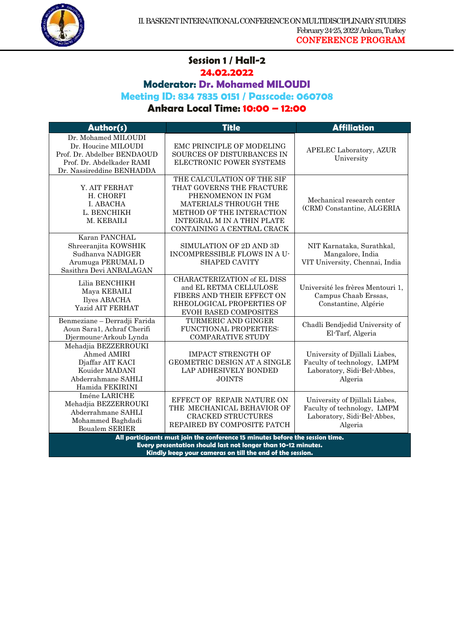

#### **Session 1 / Hall-2 24.02.2022**

1

**Moderator: Dr. Mohamed MILOUDI**

#### **Meeting ID: 834 7835 0151 / Passcode: 060708**

## **Ankara Local Time: 10:00 – 12:00**

| Author(s)                                                                                                                                      | <b>Title</b>                                                                                                                                                                                   | <b>Affiliation</b>                                                                                      |
|------------------------------------------------------------------------------------------------------------------------------------------------|------------------------------------------------------------------------------------------------------------------------------------------------------------------------------------------------|---------------------------------------------------------------------------------------------------------|
| Dr. Mohamed MILOUDI<br>Dr. Houcine MILOUDI<br>Prof. Dr. Abdelber BENDAOUD<br>Prof. Dr. Abdelkader RAMI<br>Dr. Nassireddine BENHADDA            | EMC PRINCIPLE OF MODELING<br>SOURCES OF DISTURBANCES IN<br>ELECTRONIC POWER SYSTEMS                                                                                                            | APELEC Laboratory, AZUR<br>University                                                                   |
| Y. AIT FERHAT<br>H. CHORFI<br>I. ABACHA<br>L. BENCHIKH<br>M. KEBAILI                                                                           | THE CALCULATION OF THE SIF<br>THAT GOVERNS THE FRACTURE<br>PHENOMENON IN FGM<br>MATERIALS THROUGH THE<br>METHOD OF THE INTERACTION<br>INTEGRAL M IN A THIN PLATE<br>CONTAINING A CENTRAL CRACK | Mechanical research center<br>(CRM) Constantine, ALGERIA                                                |
| Karan PANCHAL<br>Shreeranjita KOWSHIK<br>Sudhanya NADIGER<br>Arumuga PERUMAL D<br>Sasithra Devi ANBALAGAN                                      | SIMULATION OF 2D AND 3D<br>INCOMPRESSIBLE FLOWS IN A U-<br><b>SHAPED CAVITY</b>                                                                                                                | NIT Karnataka, Surathkal,<br>Mangalore, India<br>VIT University, Chennai, India                         |
| Lilia BENCHIKH<br>Maya KEBAILI<br>Ilyes ABACHA<br><b>Yazid AIT FERHAT</b>                                                                      | CHARACTERIZATION of EL DISS<br>and EL RETMA CELLULOSE<br>FIBERS AND THEIR EFFECT ON<br>RHEOLOGICAL PROPERTIES OF<br><b>EVOH BASED COMPOSITES</b>                                               | Université les frères Mentouri 1,<br>Campus Chaab Erssas,<br>Constantine, Algérie                       |
| Benmeziane - Derradji Farida<br>Aoun Sara1, Achraf Cherifi<br>Djermoune-Arkoub Lynda                                                           | TURMERIC AND GINGER<br>FUNCTIONAL PROPERTIES:<br><b>COMPARATIVE STUDY</b>                                                                                                                      | Chadli Bendjedid University of<br>El-Tarf, Algeria                                                      |
| Mehadjia BEZZERROUKI<br>Ahmed AMIRI<br>Djaffar AIT KACI<br>Kouider MADANI<br>Abderrahmane SAHLI<br>Hamida FEKIRINI                             | <b>IMPACT STRENGTH OF</b><br>GEOMETRIC DESIGN AT A SINGLE<br>LAP ADHESIVELY BONDED<br><b>JOINTS</b>                                                                                            | University of Djillali Liabes,<br>Faculty of technology, LMPM<br>Laboratory, Sidi-Bel-Abbes,<br>Algeria |
| Iméne LARICHE<br>Mehadjia BEZZERROUKI<br>Abderrahmane SAHLI<br>Mohammed Baghdadi<br><b>Boualem SERIER</b>                                      | EFFECT OF REPAIR NATURE ON<br>THE MECHANICAL BEHAVIOR OF<br><b>CRACKED STRUCTURES</b><br>REPAIRED BY COMPOSITE PATCH                                                                           | University of Djillali Liabes,<br>Faculty of technology, LMPM<br>Laboratory, Sidi-Bel-Abbes,<br>Algeria |
| All participants must join the conference 15 minutes before the session time.<br>Every presentation should last not longer than 10-12 minutes. |                                                                                                                                                                                                |                                                                                                         |

**Kindly keep your cameras on till the end of the session.**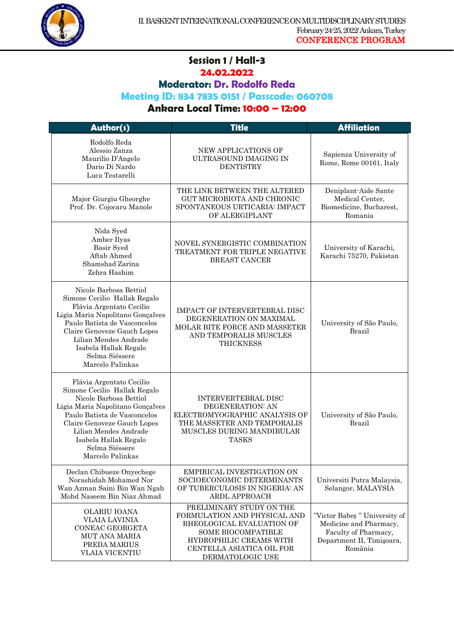

#### **Session 1 / Hall-3 24.02.2022**

1

**Moderator: Dr. Rodolfo Reda**

**Meeting ID: 834 7835 0151 / Passcode: 060708**

| Author(s)                                                                                                                                                                                                                                                                     | Title                                                                                                                                                                                          | <b>Affiliation</b>                                                                                                     |
|-------------------------------------------------------------------------------------------------------------------------------------------------------------------------------------------------------------------------------------------------------------------------------|------------------------------------------------------------------------------------------------------------------------------------------------------------------------------------------------|------------------------------------------------------------------------------------------------------------------------|
| Rodolfo Reda<br>Alessio Zanza<br>Maurilio D'Angelo<br>Dario Di Nardo<br>Luca Testarelli                                                                                                                                                                                       | NEW APPLICATIONS OF<br>ULTRASOUND IMAGING IN<br><b>DENTISTRY</b>                                                                                                                               | Sapienza University of<br>Rome, Rome 00161, Italy                                                                      |
| Major Giurgiu Gheorghe<br>Prof. Dr. Cojocaru Manole                                                                                                                                                                                                                           | THE LINK BETWEEN THE ALTERED<br>GUT MICROBIOTA AND CHRONIC<br>SPONTANEOUS URTICARIA: IMPACT<br>OF ALERGIPLANT                                                                                  | Deniplant-Aide Sante<br>Medical Center,<br>Biomedicine, Bucharest,<br>Romania                                          |
| Nida Syed<br>Amber Ilyas<br>Basir Syed<br>Aftab Ahmed<br>Shamshad Zarina<br>Zehra Hashim                                                                                                                                                                                      | NOVEL SYNERGISTIC COMBINATION<br>TREATMENT FOR TRIPLE NEGATIVE<br>BREAST CANCER                                                                                                                | University of Karachi,<br>Karachi 75270, Pakistan                                                                      |
| Nicole Barbosa Bettiol<br>Simone Cecilio Hallak Regalo<br>Flávia Argentato Cecilio<br>Ligia Maria Napolitano Gonçalves<br>Paulo Batista de Vasconcelos<br>Claire Genoveze Gauch Lopes<br>Lilian Mendes Andrade<br>Isabela Hallak Regalo<br>Selma Siéssere<br>Marcelo Palinkas | <b>IMPACT OF INTERVERTEBRAL DISC</b><br>DEGENERATION ON MAXIMAL<br>MOLAR BITE FORCE AND MASSETER<br>AND TEMPORALIS MUSCLES<br><b>THICKNESS</b>                                                 | University of São Paulo,<br><b>Brazil</b>                                                                              |
| Flávia Argentato Cecilio<br>Simone Cecilio Hallak Regalo<br>Nicole Barbosa Bettiol<br>Ligia Maria Napolitano Gonçalves<br>Paulo Batista de Vasconcelos<br>Claire Genoveze Gauch Lopes<br>Lilian Mendes Andrade<br>Isabela Hallak Regalo<br>Selma Siéssere<br>Marcelo Palinkas | <b>INTERVERTEBRAL DISC</b><br><b>DEGENERATION: AN</b><br>ELECTROMYOGRAPHIC ANALYSIS OF<br>THE MASSETER AND TEMPORALIS<br>MUSCLES DURING MANDIBULAR<br><b>TASKS</b>                             | University of São Paulo,<br><b>Brazil</b>                                                                              |
| Declan Chibueze Onyechege<br>Norashidah Mohamed Nor<br>Wan Azman Saini Bin Wan Ngah<br>Mohd Naseem Bin Niaz Ahmad                                                                                                                                                             | EMPIRICAL INVESTIGATION ON<br>SOCIOECONOMIC DETERMINANTS<br>OF TUBERCULOSIS IN NIGERIA: AN<br>ARDL APPROACH                                                                                    | Universiti Putra Malaysia,<br>Selangor, MALAYSIA                                                                       |
| OLARIU IOANA<br>VLAIA LAVINIA<br>CONEAC GEORGETA<br><b>MUT ANA MARIA</b><br>PREDA MARIUS<br>VLAIA VICENȚIU                                                                                                                                                                    | PRELIMINARY STUDY ON THE<br>FORMULATION AND PHYSICAL AND<br>RHEOLOGICAL EVALUATION OF<br><b>SOME BIOCOMPATIBLE</b><br>HYDROPHILIC CREAMS WITH<br>CENTELLA ASIATICA OIL FOR<br>DERMATOLOGIC USE | "Victor Babeș" University of<br>Medicine and Pharmacy,<br>Faculty of Pharmacy,<br>Department II, Timișoara,<br>România |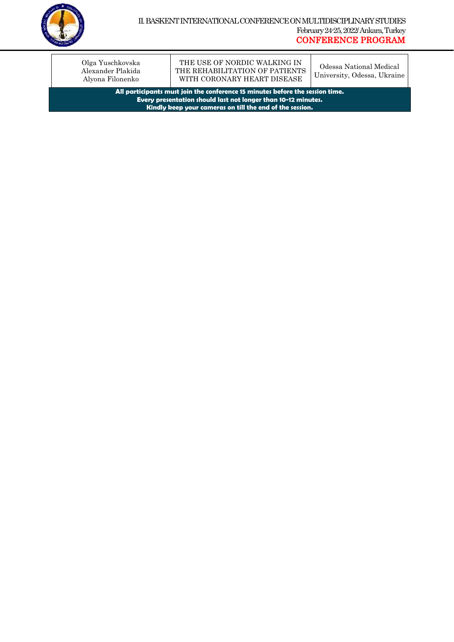

Olga Yuschkovska Alexander Plakida Alyona Filonenko

THE USE OF NORDIC WALKING IN THE REHABILITATION OF PATIENTS WITH CORONARY HEART DISEASE

1

Odessa National Medical University, Odessa, Ukraine

**All participants must join the conference 15 minutes before the session time. Every presentation should last not longer than 10-12 minutes. Kindly keep your cameras on till the end of the session.**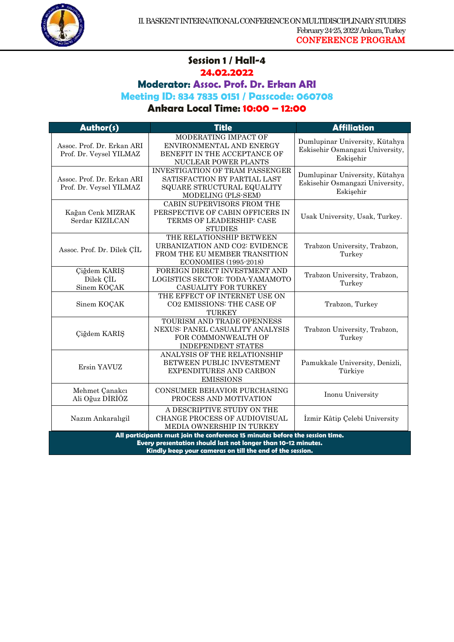

#### **Session 1 / Hall-4 24.02.2022**

1

**Moderator: Assoc. Prof. Dr. Erkan ARI**

**Meeting ID: 834 7835 0151 / Passcode: 060708**

| Author(s)                                                                                                                                                                                                  | <b>Title</b>                                                                                                                | <b>Affiliation</b>                                                             |
|------------------------------------------------------------------------------------------------------------------------------------------------------------------------------------------------------------|-----------------------------------------------------------------------------------------------------------------------------|--------------------------------------------------------------------------------|
| Assoc. Prof. Dr. Erkan ARI<br>Prof. Dr. Veysel YILMAZ                                                                                                                                                      | MODERATING IMPACT OF<br>ENVIRONMENTAL AND ENERGY<br>BENEFIT IN THE ACCEPTANCE OF<br>NUCLEAR POWER PLANTS                    | Dumlupinar University, Kütahya<br>Eskisehir Osmangazi University,<br>Eskişehir |
| Assoc. Prof. Dr. Erkan ARI<br>Prof. Dr. Veysel YILMAZ                                                                                                                                                      | <b>INVESTIGATION OF TRAM PASSENGER</b><br>SATISFACTION BY PARTIAL LAST<br>SQUARE STRUCTURAL EQUALITY<br>MODELING (PLS-SEM)  | Dumlupinar University, Kütahya<br>Eskisehir Osmangazi University,<br>Eskişehir |
| Kağan Cenk MIZRAK<br>Serdar KIZILCAN                                                                                                                                                                       | CABIN SUPERVISORS FROM THE<br>PERSPECTIVE OF CABIN OFFICERS IN<br>TERMS OF LEADERSHIP: CASE<br><b>STUDIES</b>               | Usak University, Usak, Turkey.                                                 |
| Assoc. Prof. Dr. Dilek ÇİL                                                                                                                                                                                 | THE RELATIONSHIP BETWEEN<br>URBANIZATION AND CO2: EVIDENCE<br>FROM THE EU MEMBER TRANSITION<br><b>ECONOMIES (1995-2018)</b> | Trabzon University, Trabzon,<br>Turkey                                         |
| Çiğdem KARIŞ<br>Dilek CIL<br>Sinem KOÇAK                                                                                                                                                                   | FOREIGN DIRECT INVESTMENT AND<br>LOGISTICS SECTOR: TODA-YAMAMOTO<br>CASUALITY FOR TURKEY                                    | Trabzon University, Trabzon,<br>Turkey                                         |
| Sinem KOÇAK                                                                                                                                                                                                | THE EFFECT OF INTERNET USE ON<br><b>CO2 EMISSIONS: THE CASE OF</b><br>TURKEY                                                | Trabzon, Turkey                                                                |
| Çiğdem KARIŞ                                                                                                                                                                                               | TOURISM AND TRADE OPENNESS<br>NEXUS: PANEL CASUALITY ANALYSIS<br>FOR COMMONWEALTH OF<br><b>INDEPENDENT STATES</b>           | Trabzon University, Trabzon,<br>Turkey                                         |
| Ersin YAVUZ                                                                                                                                                                                                | ANALYSIS OF THE RELATIONSHIP<br>BETWEEN PUBLIC INVESTMENT<br>EXPENDITURES AND CARBON<br><b>EMISSIONS</b>                    | Pamukkale University, Denizli,<br>Türkiye                                      |
| Mehmet Çanakcı<br>Ali Oğuz DİRİÖZ                                                                                                                                                                          | CONSUMER BEHAVIOR PURCHASING<br>PROCESS AND MOTIVATION                                                                      | Inonu University                                                               |
| Nazım Ankaralıgil                                                                                                                                                                                          | A DESCRIPTIVE STUDY ON THE<br>CHANGE PROCESS OF AUDIOVISUAL<br>MEDIA OWNERSHIP IN TURKEY                                    | İzmir Kâtip Çelebi University                                                  |
| All participants must join the conference 15 minutes before the session time.<br>Every presentation should last not longer than 10-12 minutes.<br>Kindly keep your cameras on till the end of the session. |                                                                                                                             |                                                                                |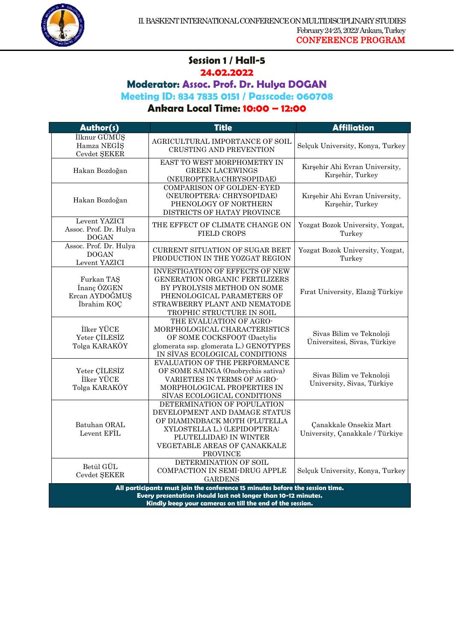

## **Session 1 / Hall-5 24.02.2022**

1

**Moderator: Assoc. Prof. Dr. Hulya DOGAN**

**Meeting ID: 834 7835 0151 / Passcode: 060708**

| Author(s)                                                  | <b>Title</b>                                                                                                                                                                                               | <b>Affiliation</b>                                        |
|------------------------------------------------------------|------------------------------------------------------------------------------------------------------------------------------------------------------------------------------------------------------------|-----------------------------------------------------------|
| İlknur GÜMÜŞ<br>Hamza NEGIS<br>Cevdet ŞEKER                | AGRICULTURAL IMPORTANCE OF SOIL<br>CRUSTING AND PREVENTION                                                                                                                                                 | Selçuk University, Konya, Turkey                          |
| Hakan Bozdoğan                                             | EAST TO WEST MORPHOMETRY IN<br><b>GREEN LACEWINGS</b><br>(NEUROPTERA:CHRYSOPIDAE)                                                                                                                          | Kırşehir Ahi Evran University,<br>Kırşehir, Turkey        |
| Hakan Bozdoğan                                             | <b>COMPARISON OF GOLDEN-EYED</b><br>(NEUROPTERA: CHRYSOPIDAE)<br>PHENOLOGY OF NORTHERN<br>DISTRICTS OF HATAY PROVINCE                                                                                      | Kırşehir Ahi Evran University,<br>Kırşehir, Turkey        |
| Levent YAZICI<br>Assoc. Prof. Dr. Hulya<br><b>DOGAN</b>    | THE EFFECT OF CLIMATE CHANGE ON<br><b>FIELD CROPS</b>                                                                                                                                                      | Yozgat Bozok University, Yozgat,<br>Turkey                |
| Assoc. Prof. Dr. Hulya<br><b>DOGAN</b><br>Levent YAZICI    | CURRENT SITUATION OF SUGAR BEET<br>PRODUCTION IN THE YOZGAT REGION                                                                                                                                         | Yozgat Bozok University, Yozgat,<br>Turkey                |
| Furkan TAS<br>Inanç ÖZGEN<br>Ercan AYDOĞMUŞ<br>İbrahim KOÇ | <b>INVESTIGATION OF EFFECTS OF NEW</b><br><b>GENERATION ORGANIC FERTILIZERS</b><br>BY PYROLYSIS METHOD ON SOME<br>PHENOLOGICAL PARAMETERS OF<br>STRAWBERRY PLANT AND NEMATODE<br>TROPHIC STRUCTURE IN SOIL | Fırat University, Elazığ Türkiye                          |
| İlker YÜCE<br>Yeter CILESIZ<br>Tolga KARAKÖY               | THE EVALUATION OF AGRO-<br>MORPHOLOGICAL CHARACTERISTICS<br>OF SOME COCKSFOOT (Dactylis<br>glomerata ssp. glomerata L.) GENOTYPES<br>IN SIVAS ECOLOGICAL CONDITIONS                                        | Sivas Bilim ve Teknoloji<br>Üniversitesi, Sivas, Türkiye  |
| Yeter CILESIZ<br>İlker YÜCE<br>Tolga KARAKÖY               | EVALUATION OF THE PERFORMANCE<br>OF SOME SAINGA (Onobrychis sativa)<br>VARIETIES IN TERMS OF AGRO-<br>MORPHOLOGICAL PROPERTIES IN<br>SIVAS ECOLOGICAL CONDITIONS                                           | Sivas Bilim ve Teknoloji<br>University, Sivas, Türkiye    |
| Batuhan ORAL<br>Levent EFIL                                | DETERMINATION OF POPULATION<br>DEVELOPMENT AND DAMAGE STATUS<br>OF DIAMINDBACK MOTH (PLUTELLA<br>XYLOSTELLA L.) (LEPIDOPTERA:<br>PLUTELLIDAE) IN WINTER<br>VEGETABLE AREAS OF CANAKKALE<br><b>PROVINCE</b> | Çanakkale Onsekiz Mart<br>University, Çanakkale / Türkiye |
| Betül GÜL<br>Cevdet SEKER                                  | DETERMINATION OF SOIL<br>COMPACTION IN SEMI-DRUG APPLE<br><b>GARDENS</b>                                                                                                                                   | Selçuk University, Konya, Turkey                          |
|                                                            | All participants must join the conference 15 minutes before the session time.<br>Every presentation should last not longer than 10-12 minutes.<br>Kindly keep your cameras on till the end of the session. |                                                           |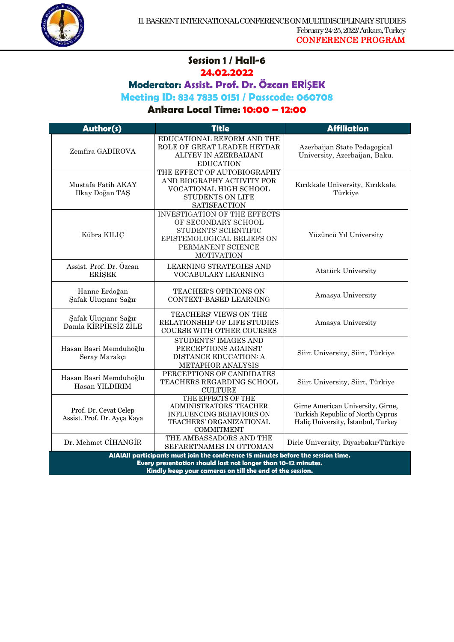

#### **Session 1 / Hall-6 24.02.2022**

1

**Moderator: Assist. Prof. Dr. Özcan ERİŞEK**

**Meeting ID: 834 7835 0151 / Passcode: 060708**

| Author(s)                                                                                                                                          | <b>Title</b>                                                                                                                                               | <b>Affiliation</b>                                                                                          |
|----------------------------------------------------------------------------------------------------------------------------------------------------|------------------------------------------------------------------------------------------------------------------------------------------------------------|-------------------------------------------------------------------------------------------------------------|
| Zemfira GADIROVA                                                                                                                                   | EDUCATIONAL REFORM AND THE<br>ROLE OF GREAT LEADER HEYDAR<br>ALIYEV IN AZERBAIJANI<br><b>EDUCATION</b>                                                     | Azerbaijan State Pedagogical<br>University, Azerbaijan, Baku.                                               |
| Mustafa Fatih AKAY<br>İlkay Doğan TAŞ                                                                                                              | THE EFFECT OF AUTOBIOGRAPHY<br>AND BIOGRAPHY ACTIVITY FOR<br>VOCATIONAL HIGH SCHOOL<br><b>STUDENTS ON LIFE</b><br><b>SATISFACTION</b>                      | Kırıkkale University, Kırıkkale,<br>Türkiye                                                                 |
| Kübra KILIÇ                                                                                                                                        | <b>INVESTIGATION OF THE EFFECTS</b><br>OF SECONDARY SCHOOL<br>STUDENTS' SCIENTIFIC<br>EPISTEMOLOGICAL BELIEFS ON<br>PERMANENT SCIENCE<br><b>MOTIVATION</b> | Yüzüncü Yıl University                                                                                      |
| Assist. Prof. Dr. Özcan<br><b>ERISEK</b>                                                                                                           | <b>LEARNING STRATEGIES AND</b><br>VOCABULARY LEARNING                                                                                                      | Atatürk University                                                                                          |
| Hanne Erdoğan<br>Şafak Uluçıanr Sağır                                                                                                              | <b>TEACHER'S OPINIONS ON</b><br>CONTEXT-BASED LEARNING                                                                                                     | Amasya University                                                                                           |
| Şafak Uluçıanr Sağır<br>Damla KIRPIKSIZ ZILE                                                                                                       | TEACHERS' VIEWS ON THE<br>RELATIONSHIP OF LIFE STUDIES<br><b>COURSE WITH OTHER COURSES</b>                                                                 | Amasya University                                                                                           |
| Hasan Basri Memduhoğlu<br>Seray Marakçı                                                                                                            | STUDENTS' IMAGES AND<br>PERCEPTIONS AGAINST<br>DISTANCE EDUCATION: A<br>METAPHOR ANALYSIS                                                                  | Siirt University, Siirt, Türkiye                                                                            |
| Hasan Basri Memduhoğlu<br>Hasan YILDIRIM                                                                                                           | PERCEPTIONS OF CANDIDATES<br>TEACHERS REGARDING SCHOOL<br><b>CULTURE</b>                                                                                   | Siirt University, Siirt, Türkiye                                                                            |
| Prof. Dr. Cevat Celep<br>Assist. Prof. Dr. Ayça Kaya                                                                                               | THE EFFECTS OF THE<br>ADMINISTRATORS' TEACHER<br><b>INFLUENCING BEHAVIORS ON</b><br>TEACHERS' ORGANIZATIONAL<br><b>COMMITMENT</b>                          | Girne American University, Girne,<br>Turkish Republic of North Cyprus<br>Halic University, İstanbul, Turkey |
| Dr. Mehmet CİHANGİR                                                                                                                                | THE AMBASSADORS AND THE<br>SEFARETNAMES IN OTTOMAN                                                                                                         | Dicle University, Diyarbakır/Türkiye                                                                        |
| AIAIAII participants must join the conference 15 minutes before the session time.<br>Every presentation should last not longer than 10-12 minutes. |                                                                                                                                                            |                                                                                                             |
| Kindly keep your cameras on till the end of the session.                                                                                           |                                                                                                                                                            |                                                                                                             |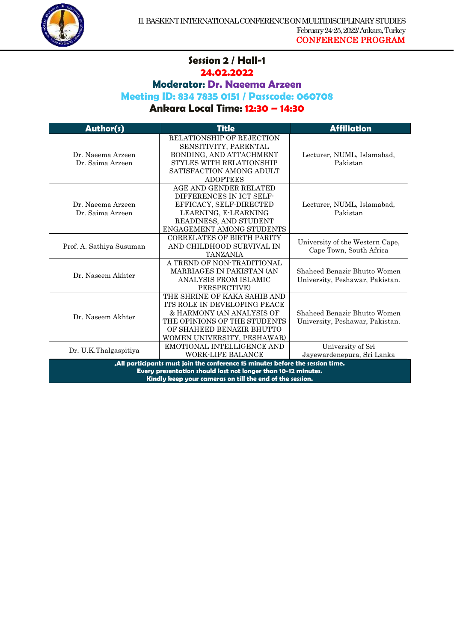

#### **Session 2 / Hall-1 24.02.2022**

1

**Moderator: Dr. Naeema Arzeen**

**Meeting ID: 834 7835 0151 / Passcode: 060708**

| Author(s)                                                                                                                                                                                                   | <b>Title</b>                                                                                                                                                                          | <b>Affiliation</b>                                              |
|-------------------------------------------------------------------------------------------------------------------------------------------------------------------------------------------------------------|---------------------------------------------------------------------------------------------------------------------------------------------------------------------------------------|-----------------------------------------------------------------|
| Dr. Naeema Arzeen<br>Dr. Saima Arzeen                                                                                                                                                                       | <b>RELATIONSHIP OF REJECTION</b><br>SENSITIVITY, PARENTAL<br>BONDING, AND ATTACHMENT<br><b>STYLES WITH RELATIONSHIP</b><br>SATISFACTION AMONG ADULT<br><b>ADOPTEES</b>                | Lecturer, NUML, Islamabad,<br>Pakistan                          |
| Dr. Naeema Arzeen<br>Dr. Saima Arzeen                                                                                                                                                                       | AGE AND GENDER RELATED<br>DIFFERENCES IN ICT SELF-<br>EFFICACY, SELF-DIRECTED<br>LEARNING, E-LEARNING<br>READINESS, AND STUDENT<br><b>ENGAGEMENT AMONG STUDENTS</b>                   | Lecturer, NUML, Islamabad,<br>Pakistan                          |
| Prof. A. Sathiya Susuman                                                                                                                                                                                    | <b>CORRELATES OF BIRTH PARITY</b><br>AND CHILDHOOD SURVIVAL IN<br><b>TANZANIA</b>                                                                                                     | University of the Western Cape,<br>Cape Town, South Africa      |
| Dr. Naseem Akhter                                                                                                                                                                                           | A TREND OF NON-TRADITIONAL<br><b>MARRIAGES IN PAKISTAN (AN</b><br>ANALYSIS FROM ISLAMIC<br>PERSPECTIVE)                                                                               | Shaheed Benazir Bhutto Women<br>University, Peshawar, Pakistan. |
| Dr. Naseem Akhter                                                                                                                                                                                           | THE SHRINE OF KAKA SAHIB AND<br>ITS ROLE IN DEVELOPING PEACE<br>& HARMONY (AN ANALYSIS OF<br>THE OPINIONS OF THE STUDENTS<br>OF SHAHEED BENAZIR BHUTTO<br>WOMEN UNIVERSITY, PESHAWAR) | Shaheed Benazir Bhutto Women<br>University, Peshawar, Pakistan. |
| Dr. U.K.Thalgaspitiya                                                                                                                                                                                       | EMOTIONAL INTELLIGENCE AND<br><b>WORK-LIFE BALANCE</b>                                                                                                                                | University of Sri<br>Jayewardenepura, Sri Lanka                 |
| "All participants must join the conference 15 minutes before the session time.<br>Every presentation should last not longer than 10-12 minutes.<br>Kindly keep your cameras on till the end of the session. |                                                                                                                                                                                       |                                                                 |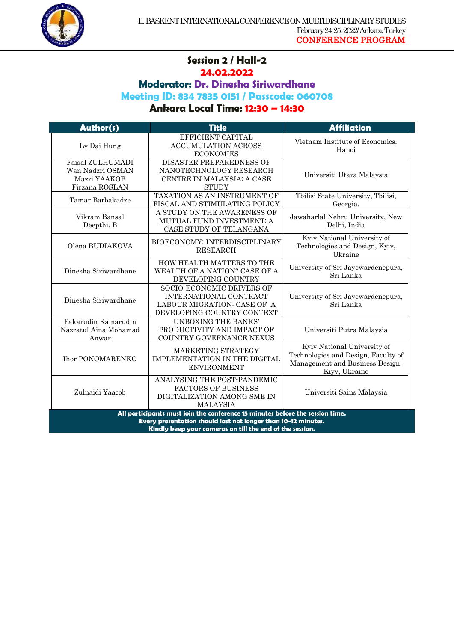

## **Session 2 / Hall-2 24.02.2022**

1

**Moderator: Dr. Dinesha Siriwardhane**

**Meeting ID: 834 7835 0151 / Passcode: 060708**

| Author(s)                                                                                                                                                                                                  | <b>Title</b>                                                                                                            | <b>Affiliation</b>                                                                                                     |
|------------------------------------------------------------------------------------------------------------------------------------------------------------------------------------------------------------|-------------------------------------------------------------------------------------------------------------------------|------------------------------------------------------------------------------------------------------------------------|
| Ly Dai Hung                                                                                                                                                                                                | EFFICIENT CAPITAL<br><b>ACCUMULATION ACROSS</b><br><b>ECONOMIES</b>                                                     | Vietnam Institute of Economics,<br>Hanoi                                                                               |
| <b>Faisal ZULHUMADI</b><br>Wan Nadzri OSMAN<br>Mazri YAAKOB<br>Firzana ROSLAN                                                                                                                              | <b>DISASTER PREPAREDNESS OF</b><br>NANOTECHNOLOGY RESEARCH<br>CENTRE IN MALAYSIA: A CASE<br><b>STUDY</b>                | Universiti Utara Malaysia                                                                                              |
| Tamar Barbakadze                                                                                                                                                                                           | TAXATION AS AN INSTRUMENT OF<br>FISCAL AND STIMULATING POLICY                                                           | Tbilisi State University, Tbilisi,<br>Georgia.                                                                         |
| Vikram Bansal<br>Deepthi. B                                                                                                                                                                                | A STUDY ON THE AWARENESS OF<br>MUTUAL FUND INVESTMENT: A<br>CASE STUDY OF TELANGANA                                     | Jawaharlal Nehru University, New<br>Delhi, India                                                                       |
| Olena BUDIAKOVA                                                                                                                                                                                            | BIOECONOMY: INTERDISCIPLINARY<br><b>RESEARCH</b>                                                                        | Kyiv National University of<br>Technologies and Design, Kyiv,<br>Ukraine                                               |
| Dinesha Siriwardhane                                                                                                                                                                                       | HOW HEALTH MATTERS TO THE<br>WEALTH OF A NATION? CASE OF A<br>DEVELOPING COUNTRY                                        | University of Sri Jayewardenepura,<br>Sri Lanka                                                                        |
| Dinesha Siriwardhane                                                                                                                                                                                       | <b>SOCIO-ECONOMIC DRIVERS OF</b><br>INTERNATIONAL CONTRACT<br>LABOUR MIGRATION: CASE OF A<br>DEVELOPING COUNTRY CONTEXT | University of Sri Jayewardenepura,<br>Sri Lanka                                                                        |
| Fakarudin Kamarudin<br>Nazratul Aina Mohamad<br>Anwar                                                                                                                                                      | UNBOXING THE BANKS'<br>PRODUCTIVITY AND IMPACT OF<br>COUNTRY GOVERNANCE NEXUS                                           | Universiti Putra Malaysia                                                                                              |
| <b>Ihor PONOMARENKO</b>                                                                                                                                                                                    | MARKETING STRATEGY<br>IMPLEMENTATION IN THE DIGITAL<br><b>ENVIRONMENT</b>                                               | Kyiv National University of<br>Technologies and Design, Faculty of<br>Management and Business Design,<br>Kiyv, Ukraine |
| Zulnaidi Yaacob                                                                                                                                                                                            | ANALYSING THE POST-PANDEMIC<br><b>FACTORS OF BUSINESS</b><br>DIGITALIZATION AMONG SME IN<br><b>MALAYSIA</b>             | Universiti Sains Malaysia                                                                                              |
| All participants must join the conference 15 minutes before the session time.<br>Every presentation should last not longer than 10-12 minutes.<br>Kindly keep your cameras on till the end of the session. |                                                                                                                         |                                                                                                                        |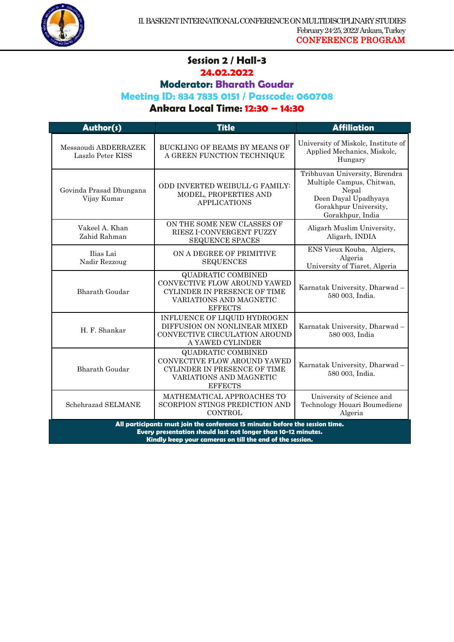

#### **Session 2 / Hall-3 24.02.2022**

1

# **Moderator: Bharath Goudar**

## **Meeting ID: 834 7835 0151 / Passcode: 060708**

| Author(s)                                                                                                                                                                                                  | <b>Title</b>                                                                                                                           | <b>Affiliation</b>                                                                                                                        |
|------------------------------------------------------------------------------------------------------------------------------------------------------------------------------------------------------------|----------------------------------------------------------------------------------------------------------------------------------------|-------------------------------------------------------------------------------------------------------------------------------------------|
| Messaoudi ABDERRAZEK<br>Laszlo Peter KISS                                                                                                                                                                  | BUCKLING OF BEAMS BY MEANS OF<br>A GREEN FUNCTION TECHNIQUE                                                                            | University of Miskolc, Institute of<br>Applied Mechanics, Miskolc,<br>Hungary                                                             |
| Govinda Prasad Dhungana<br>Vijay Kumar                                                                                                                                                                     | ODD INVERTED WEIBULL-G FAMILY:<br>MODEL, PROPERTIES AND<br><b>APPLICATIONS</b>                                                         | Tribhuvan University, Birendra<br>Multiple Campus, Chitwan,<br>Nepal<br>Deen Dayal Upadhyaya<br>Gorakhpur University,<br>Gorakhpur, India |
| Vakeel A. Khan<br>Zahid Rahman                                                                                                                                                                             | ON THE SOME NEW CLASSES OF<br><b>RIESZ I-CONVERGENT FUZZY</b><br><b>SEQUENCE SPACES</b>                                                | Aligarh Muslim University,<br>Aligarh, INDIA                                                                                              |
| Ilias Lai<br>Nadir Rezzoug                                                                                                                                                                                 | ON A DEGREE OF PRIMITIVE<br><b>SEQUENCES</b>                                                                                           | ENS Vieux Kouba, Algiers,<br>Algeria<br>University of Tiaret, Algeria                                                                     |
| <b>Bharath Goudar</b>                                                                                                                                                                                      | <b>QUADRATIC COMBINED</b><br>CONVECTIVE FLOW AROUND YAWED<br>CYLINDER IN PRESENCE OF TIME<br>VARIATIONS AND MAGNETIC<br><b>EFFECTS</b> | Karnatak University, Dharwad-<br>580 003, India.                                                                                          |
| H. F. Shankar                                                                                                                                                                                              | INFLUENCE OF LIQUID HYDROGEN<br>DIFFUSION ON NONLINEAR MIXED<br>CONVECTIVE CIRCULATION AROUND<br>A YAWED CYLINDER                      | Karnatak University, Dharwad-<br>580 003, India                                                                                           |
| <b>Bharath Goudar</b>                                                                                                                                                                                      | <b>QUADRATIC COMBINED</b><br>CONVECTIVE FLOW AROUND YAWED<br>CYLINDER IN PRESENCE OF TIME<br>VARIATIONS AND MAGNETIC<br><b>EFFECTS</b> | Karnatak University, Dharwad-<br>580 003, India.                                                                                          |
| Schehrazad SELMANE                                                                                                                                                                                         | MATHEMATICAL APPROACHES TO<br>SCORPION STINGS PREDICTION AND<br>CONTROL                                                                | University of Science and<br>Technology Houari Boumediene<br>Algeria                                                                      |
| All participants must join the conference 15 minutes before the session time.<br>Every presentation should last not longer than 10-12 minutes.<br>Kindly keep your cameras on till the end of the session. |                                                                                                                                        |                                                                                                                                           |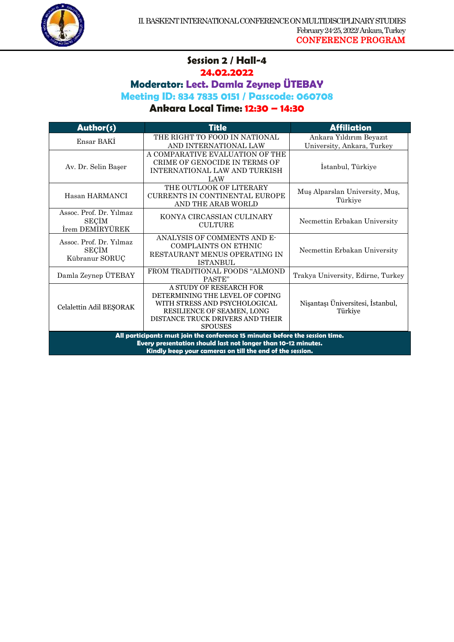

#### **Session 2 / Hall-4 24.02.2022**

1

**Moderator: Lect. Damla Zeynep ÜTEBAY**

**Meeting ID: 834 7835 0151 / Passcode: 060708**

| Author(s)                                                                                                                                                                                                  | <b>Title</b>                                                                                                                                                                    | <b>Affiliation</b>                                    |
|------------------------------------------------------------------------------------------------------------------------------------------------------------------------------------------------------------|---------------------------------------------------------------------------------------------------------------------------------------------------------------------------------|-------------------------------------------------------|
| Ensar BAKI                                                                                                                                                                                                 | THE RIGHT TO FOOD IN NATIONAL<br>AND INTERNATIONAL LAW                                                                                                                          | Ankara Yıldırım Beyazıt<br>University, Ankara, Turkey |
| Av. Dr. Selin Başer                                                                                                                                                                                        | A COMPARATIVE EVALUATION OF THE<br>CRIME OF GENOCIDE IN TERMS OF<br>INTERNATIONAL LAW AND TURKISH<br>LAW                                                                        | Istanbul, Türkiye                                     |
| Hasan HARMANCI                                                                                                                                                                                             | THE OUTLOOK OF LITERARY<br><b>CURRENTS IN CONTINENTAL EUROPE</b><br>AND THE ARAB WORLD                                                                                          | Muş Alparslan University, Muş,<br>Türkiye             |
| Assoc. Prof. Dr. Yilmaz<br><b>SECIM</b><br>İrem DEMİRYÜREK                                                                                                                                                 | KONYA CIRCASSIAN CULINARY<br><b>CULTURE</b>                                                                                                                                     | Necmettin Erbakan University                          |
| Assoc. Prof. Dr. Yilmaz<br><b>SECIM</b><br>Kübranur SORUÇ                                                                                                                                                  | ANALYSIS OF COMMENTS AND E-<br><b>COMPLAINTS ON ETHNIC</b><br>RESTAURANT MENUS OPERATING IN<br><b>ISTANBUL</b>                                                                  | Necmettin Erbakan University                          |
| Damla Zeynep ÜTEBAY                                                                                                                                                                                        | FROM TRADITIONAL FOODS "ALMOND<br>PASTE"                                                                                                                                        | Trakya University, Edirne, Turkey                     |
| Celalettin Adil BEŞORAK                                                                                                                                                                                    | A STUDY OF RESEARCH FOR<br>DETERMINING THE LEVEL OF COPING<br>WITH STRESS AND PSYCHOLOGICAL<br>RESILIENCE OF SEAMEN, LONG<br>DISTANCE TRUCK DRIVERS AND THEIR<br><b>SPOUSES</b> | Nişantaşı Üniversitesi, İstanbul,<br>Türkiye          |
| All participants must join the conference 15 minutes before the session time.<br>Every presentation should last not longer than 10-12 minutes.<br>Kindly keep your cameras on till the end of the session. |                                                                                                                                                                                 |                                                       |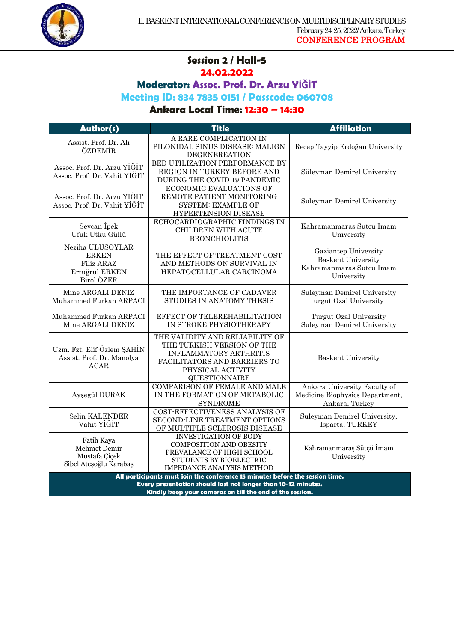

#### **Session 2 / Hall-5 24.02.2022**

1

**Moderator: Assoc. Prof. Dr. Arzu YİĞİT** 

**Meeting ID: 834 7835 0151 / Passcode: 060708**

**Ankara Local Time: 12:30 – 14:30**

| Author(s)                                                                      | <b>Title</b>                                                                                                                                                                | <b>Affiliation</b>                                                                          |
|--------------------------------------------------------------------------------|-----------------------------------------------------------------------------------------------------------------------------------------------------------------------------|---------------------------------------------------------------------------------------------|
| Assist. Prof. Dr. Ali<br>ÖZDEMİR                                               | A RARE COMPLICATION IN<br>PILONIDAL SINUS DISEASE: MALIGN<br><b>DEGENEREATION</b>                                                                                           | Recep Tayyip Erdoğan University                                                             |
| Assoc. Prof. Dr. Arzu YIĞİT<br>Assoc. Prof. Dr. Vahit YİĞİT                    | BED UTILIZATION PERFORMANCE BY<br>REGION IN TURKEY BEFORE AND<br>DURING THE COVID 19 PANDEMIC                                                                               | Süleyman Demirel University                                                                 |
| Assoc. Prof. Dr. Arzu YİĞİT<br>Assoc. Prof. Dr. Vahit YİĞİT                    | ECONOMIC EVALUATIONS OF<br>REMOTE PATIENT MONITORING<br><b>SYSTEM: EXAMPLE OF</b><br>HYPERTENSION DISEASE                                                                   | Süleyman Demirel University                                                                 |
| Sevcan Ipek<br>Ufuk Utku Güllü                                                 | ECHOCARDIOGRAPHIC FINDINGS IN<br>CHILDREN WITH ACUTE<br><b>BRONCHIOLITIS</b>                                                                                                | Kahramanmaras Sutcu Imam<br>University                                                      |
| Neziha ULUSOYLAR<br><b>ERKEN</b><br>Filiz ARAZ<br>Ertuğrul ERKEN<br>Birol ÖZER | THE EFFECT OF TREATMENT COST<br>AND METHODS ON SURVIVAL IN<br>HEPATOCELLULAR CARCINOMA                                                                                      | Gaziantep University<br><b>Baskent University</b><br>Kahramanmaras Sutcu Imam<br>University |
| Mine ARGALI DENIZ<br>Muhammed Furkan ARPACI                                    | THE IMPORTANCE OF CADAVER<br>STUDIES IN ANATOMY THESIS                                                                                                                      | Suleyman Demirel University<br>urgut Ozal University                                        |
| Muhammed Furkan ARPACI<br>Mine ARGALI DENIZ                                    | EFFECT OF TELEREHABILITATION<br>IN STROKE PHYSIOTHERAPY                                                                                                                     | Turgut Ozal University<br>Suleyman Demirel University                                       |
| Uzm. Fzt. Elif Özlem ŞAHİN<br>Assist. Prof. Dr. Manolya<br>ACAR                | THE VALIDITY AND RELIABILITY OF<br>THE TURKISH VERSION OF THE<br><b>INFLAMMATORY ARTHRITIS</b><br>FACILITATORS AND BARRIERS TO<br>PHYSICAL ACTIVITY<br><b>QUESTIONNAIRE</b> | <b>Baskent University</b>                                                                   |
| Ayşegül DURAK                                                                  | <b>COMPARISON OF FEMALE AND MALE</b><br>IN THE FORMATION OF METABOLIC<br><b>SYNDROME</b>                                                                                    | Ankara University Faculty of<br>Medicine Biophysics Department,<br>Ankara, Turkey           |
| Selin KALENDER<br>Vahit YİĞİT                                                  | COST-EFFECTIVENESS ANALYSIS OF<br>SECOND-LINE TREATMENT OPTIONS<br>OF MULTIPLE SCLEROSIS DISEASE                                                                            | Suleyman Demirel University,<br>Isparta, TURKEY                                             |
| Fatih Kaya<br>Mehmet Demir<br>Mustafa Çiçek<br>Sibel Ateşoğlu Karabaş          | <b>INVESTIGATION OF BODY</b><br><b>COMPOSITION AND OBESITY</b><br>PREVALANCE OF HIGH SCHOOL<br>STUDENTS BY BIOELECTRIC<br><b>IMPEDANCE ANALYSIS METHOD</b>                  | Kahramanmaraş Sütçü İmam<br>University                                                      |
|                                                                                | All participants must join the conference 15 minutes before the session time.<br>Every presentation should last not longer than 10-12 minutes.                              |                                                                                             |

**Kindly keep your cameras on till the end of the session.**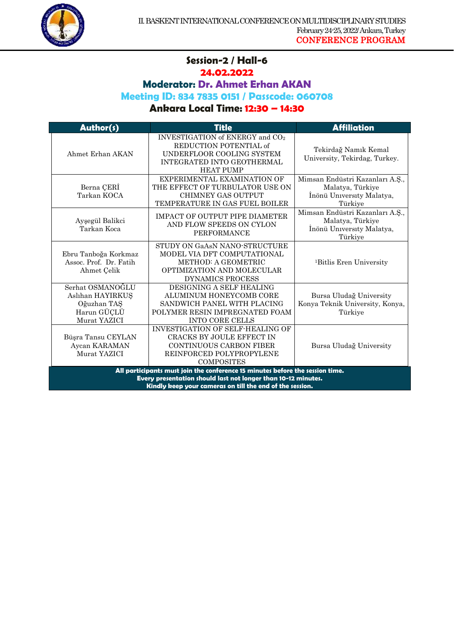

#### **Session-2 / Hall-6 24.02.2022**

1

**Moderator: Dr. Ahmet Erhan AKAN**

**Meeting ID: 834 7835 0151 / Passcode: 060708**

| Author(s)                                                                          | <b>Title</b>                                                                                                                                                                                               | <b>Affiliation</b>                                                                          |
|------------------------------------------------------------------------------------|------------------------------------------------------------------------------------------------------------------------------------------------------------------------------------------------------------|---------------------------------------------------------------------------------------------|
| Ahmet Erhan AKAN                                                                   | INVESTIGATION of ENERGY and CO <sub>2</sub><br>REDUCTION POTENTIAL of<br>UNDERFLOOR COOLING SYSTEM<br>INTEGRATED INTO GEOTHERMAL<br><b>HEAT PUMP</b>                                                       | Tekirdağ Namık Kemal<br>University, Tekirdag, Turkey.                                       |
| Berna CERI<br>Tarkan KOCA                                                          | EXPERIMENTAL EXAMINATION OF<br>THE EFFECT OF TURBULATOR USE ON<br><b>CHIMNEY GAS OUTPUT</b><br>TEMPERATURE IN GAS FUEL BOILER                                                                              | Mimsan Endüstri Kazanları A.Ş.,<br>Malatya, Türkiye<br>İnönü University Malatya,<br>Türkiye |
| Ayşegül Balikci<br>Tarkan Koca                                                     | <b>IMPACT OF OUTPUT PIPE DIAMETER</b><br>AND FLOW SPEEDS ON CYLON<br><b>PERFORMANCE</b>                                                                                                                    | Mimsan Endüstri Kazanları A.Ş.,<br>Malatya, Türkiye<br>İnönü University Malatya,<br>Türkiye |
| Ebru Tanboğa Korkmaz<br>Assoc. Prof. Dr. Fatih<br>Ahmet Çelik                      | STUDY ON GaASN NANO-STRUCTURE<br>MODEL VIA DFT COMPUTATIONAL<br><b>METHOD: A GEOMETRIC</b><br>OPTIMIZATION AND MOLECULAR<br>DYNAMICS PROCESS                                                               | <sup>1</sup> Bitlis Eren University                                                         |
| Serhat OSMANOĞLU<br>Aslıhan HAYIRKUS<br>Oğuzhan TAŞ<br>Harun GÜÇLÜ<br>Murat YAZICI | DESIGNING A SELF HEALING<br>ALUMINUM HONEYCOMB CORE<br>SANDWICH PANEL WITH PLACING<br>POLYMER RESIN IMPREGNATED FOAM<br><b>INTO CORE CELLS</b>                                                             | Bursa Uludağ University<br>Konya Teknik University, Konya,<br>Türkiye                       |
| Büşra Tansu CEYLAN<br>Aycan KARAMAN<br>Murat YAZICI                                | <b>INVESTIGATION OF SELF-HEALING OF</b><br><b>CRACKS BY JOULE EFFECT IN</b><br><b>CONTINUOUS CARBON FIBER</b><br>REINFORCED POLYPROPYLENE<br><b>COMPOSITES</b>                                             | Bursa Uludağ University                                                                     |
|                                                                                    | All participants must join the conference 15 minutes before the session time.<br>Every presentation should last not longer than 10-12 minutes.<br>Kindly keep your cameras on till the end of the session. |                                                                                             |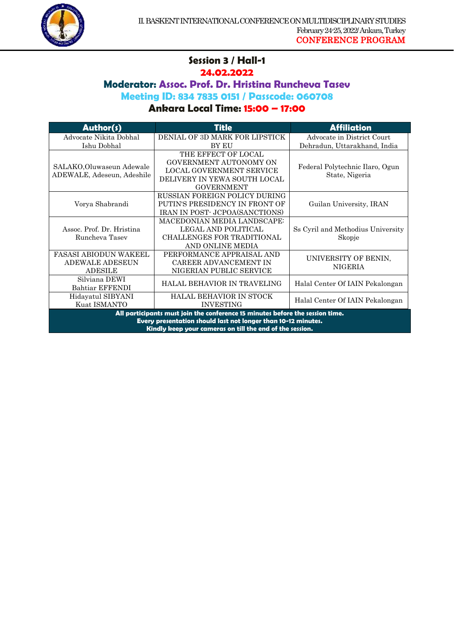

#### **Session 3 / Hall-1 24.02.2022**

1

## **Moderator: Assoc. Prof. Dr. Hristina Runcheva Tasev**

**Meeting ID: 834 7835 0151 / Passcode: 060708**

| Author(s)                                                                                                                                                                                                  | <b>Title</b>                                                                                                                          | <b>Affiliation</b>                                |
|------------------------------------------------------------------------------------------------------------------------------------------------------------------------------------------------------------|---------------------------------------------------------------------------------------------------------------------------------------|---------------------------------------------------|
| Advocate Nikita Dobhal                                                                                                                                                                                     | DENIAL OF 3D MARK FOR LIPSTICK                                                                                                        | Advocate in District Court                        |
| Ishu Dobhal                                                                                                                                                                                                | <b>BY EU</b>                                                                                                                          | Dehradun, Uttarakhand, India                      |
| SALAKO, Oluwaseun Adewale<br>ADEWALE, Adeseun, Adeshile                                                                                                                                                    | THE EFFECT OF LOCAL<br><b>GOVERNMENT AUTONOMY ON</b><br>LOCAL GOVERNMENT SERVICE<br>DELIVERY IN YEWA SOUTH LOCAL<br><b>GOVERNMENT</b> | Federal Polytechnic Ilaro, Ogun<br>State, Nigeria |
| Vorya Shabrandi                                                                                                                                                                                            | RUSSIAN FOREIGN POLICY DURING<br>PUTIN'S PRESIDENCY IN FRONT OF<br>IRAN IN POST- JCPOA(SANCTIONS)                                     | Guilan University, IRAN                           |
| Assoc. Prof. Dr. Hristina<br>Runcheva Tasev                                                                                                                                                                | <b>MACEDONIAN MEDIA LANDSCAPE:</b><br>LEGAL AND POLITICAL<br><b>CHALLENGES FOR TRADITIONAL</b><br>AND ONLINE MEDIA                    | Ss Cyril and Methodius University<br>Skopje       |
| <b>FASASI ABIODUN WAKEEL</b><br><b>ADEWALE ADESEUN</b><br><b>ADESILE</b>                                                                                                                                   | PERFORMANCE APPRAISAL AND<br>CAREER ADVANCEMENT IN<br>NIGERIAN PUBLIC SERVICE                                                         | UNIVERSITY OF BENIN,<br>NIGERIA                   |
| Silviana DEWI<br>Bahtiar EFFENDI                                                                                                                                                                           | HALAL BEHAVIOR IN TRAVELING                                                                                                           | Halal Center Of IAIN Pekalongan                   |
| Hidayatul SIBYANI<br>Kuat ISMANTO                                                                                                                                                                          | HALAL BEHAVIOR IN STOCK<br><b>INVESTING</b>                                                                                           | Halal Center Of IAIN Pekalongan                   |
| All participants must join the conference 15 minutes before the session time.<br>Every presentation should last not longer than 10-12 minutes.<br>Kindly keep your cameras on till the end of the session. |                                                                                                                                       |                                                   |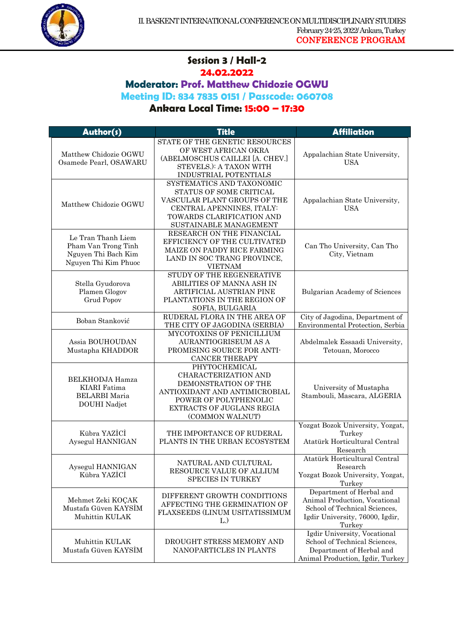

#### **Session 3 / Hall-2 24.02.2022**

1

# **Moderator: Prof. Matthew Chidozie OGWU**

**Meeting ID: 834 7835 0151 / Passcode: 060708**

| Author(s)                                                                                | <b>Title</b>                                                                                                                                                             | <b>Affiliation</b>                                                                                                                      |
|------------------------------------------------------------------------------------------|--------------------------------------------------------------------------------------------------------------------------------------------------------------------------|-----------------------------------------------------------------------------------------------------------------------------------------|
|                                                                                          | STATE OF THE GENETIC RESOURCES                                                                                                                                           |                                                                                                                                         |
| Matthew Chidozie OGWU<br>Osamede Pearl, OSAWARU                                          | OF WEST AFRICAN OKRA<br>(ABELMOSCHUS CAILLEI [A. CHEV.]<br>STEVELS.): A TAXON WITH<br>INDUSTRIAL POTENTIALS                                                              | Appalachian State University,<br><b>USA</b>                                                                                             |
| Matthew Chidozie OGWU                                                                    | SYSTEMATICS AND TAXONOMIC<br>STATUS OF SOME CRITICAL<br>VASCULAR PLANT GROUPS OF THE<br>CENTRAL APENNINES, ITALY:<br>TOWARDS CLARIFICATION AND<br>SUSTAINABLE MANAGEMENT | Appalachian State University,<br><b>USA</b>                                                                                             |
| Le Tran Thanh Liem<br>Pham Van Trong Tinh<br>Nguyen Thi Bach Kim<br>Nguyen Thi Kim Phuoc | RESEARCH ON THE FINANCIAL<br>EFFICIENCY OF THE CULTIVATED<br>MAIZE ON PADDY RICE FARMING<br>LAND IN SOC TRANG PROVINCE,<br><b>VIETNAM</b>                                | Can Tho University, Can Tho<br>City, Vietnam                                                                                            |
| Stella Gyudorova<br>Plamen Glogov<br>Grud Popov                                          | STUDY OF THE REGENERATIVE<br>ABILITIES OF MANNA ASH IN<br>ARTIFICIAL AUSTRIAN PINE<br>PLANTATIONS IN THE REGION OF<br>SOFIA, BULGARIA                                    | Bulgarian Academy of Sciences                                                                                                           |
| Boban Stanković                                                                          | RUDERAL FLORA IN THE AREA OF<br>THE CITY OF JAGODINA (SERBIA)                                                                                                            | City of Jagodina, Department of<br>Environmental Protection, Serbia                                                                     |
| Assia BOUHOUDAN<br>Mustapha KHADDOR                                                      | MYCOTOXINS OF PENICILLIUM<br>AURANTIOGRISEUM AS A<br>PROMISING SOURCE FOR ANTI-<br><b>CANCER THERAPY</b>                                                                 | Abdelmalek Essaadi University,<br>Tetouan, Morocco                                                                                      |
| BELKHODJA Hamza<br><b>KIARI</b> Fatima<br><b>BELARBI</b> Maria<br>DOUHI Nadjet           | PHYTOCHEMICAL<br>CHARACTERIZATION AND<br>DEMONSTRATION OF THE<br>ANTIOXIDANT AND ANTIMICROBIAL<br>POWER OF POLYPHENOLIC<br>EXTRACTS OF JUGLANS REGIA<br>(COMMON WALNUT)  | University of Mustapha<br>Stambouli, Mascara, ALGERIA                                                                                   |
| Kübra YAZİCİ<br>Aysegul HANNIGAN                                                         | THE IMPORTANCE OF RUDERAL<br>PLANTS IN THE URBAN ECOSYSTEM                                                                                                               | Yozgat Bozok University, Yozgat,<br>Turkey<br>Atatürk Horticultural Central<br>Research                                                 |
| Aysegul HANNIGAN<br>Kübra YAZİCİ                                                         | NATURAL AND CULTURAL<br>RESOURCE VALUE OF ALLIUM<br><b>SPECIES IN TURKEY</b>                                                                                             | Atatürk Horticultural Central<br>Research<br>Yozgat Bozok University, Yozgat,<br>Turkey                                                 |
| Mehmet Zeki KOÇAK<br>Mustafa Güven KAYSİM<br>Muhittin KULAK                              | DIFFERENT GROWTH CONDITIONS<br>AFFECTING THE GERMINATION OF<br>FLAXSEEDS (LINUM USITATISSIMUM<br>L.)                                                                     | Department of Herbal and<br>Animal Production, Vocational<br>School of Technical Sciences,<br>Igdir University, 76000, Igdir,<br>Turkey |
| Muhittin KULAK<br>Mustafa Güven KAYSİM                                                   | DROUGHT STRESS MEMORY AND<br>NANOPARTICLES IN PLANTS                                                                                                                     | Igdir University, Vocational<br>School of Technical Sciences,<br>Department of Herbal and<br>Animal Production, Igdir, Turkey           |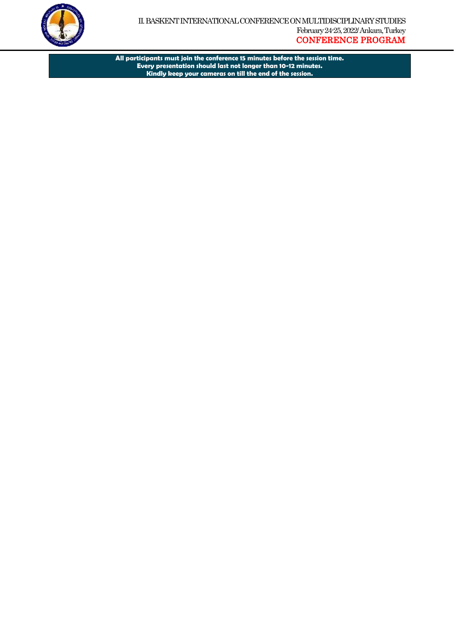

**All participants must join the conference 15 minutes before the session time. Every presentation should last not longer than 10-12 minutes. Kindly keep your cameras on till the end of the session.**

1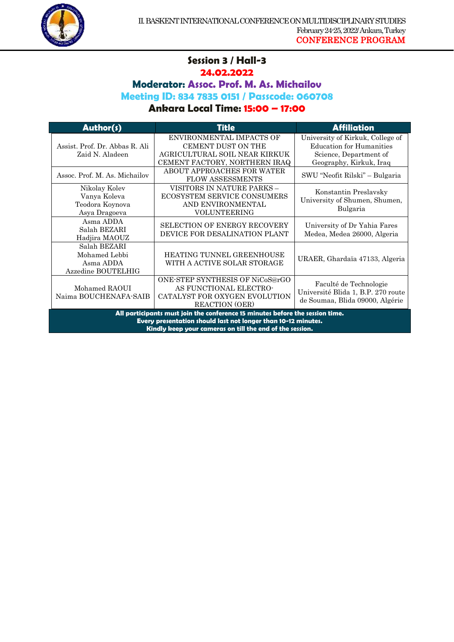

## **Session 3 / Hall-3 24.02.2022**

1

**Moderator: Assoc. Prof. M. As. Michailov**

**Meeting ID: 834 7835 0151 / Passcode: 060708**

| Author(s)                                                                                                                                                                                                  | <b>Title</b>                                                                                                            | <b>Affiliation</b>                                                                                                       |
|------------------------------------------------------------------------------------------------------------------------------------------------------------------------------------------------------------|-------------------------------------------------------------------------------------------------------------------------|--------------------------------------------------------------------------------------------------------------------------|
| Assist. Prof. Dr. Abbas R. Ali<br>Zaid N. Aladeen                                                                                                                                                          | ENVIRONMENTAL IMPACTS OF<br><b>CEMENT DUST ON THE</b><br>AGRICULTURAL SOIL NEAR KIRKUK<br>CEMENT FACTORY, NORTHERN IRAQ | University of Kirkuk, College of<br><b>Education for Humanities</b><br>Science, Department of<br>Geography, Kirkuk, Iraq |
| Assoc. Prof. M. As. Michailov                                                                                                                                                                              | ABOUT APPROACHES FOR WATER<br><b>FLOW ASSESSMENTS</b>                                                                   | SWU "Neofit Rilski" – Bulgaria                                                                                           |
| Nikolay Kolev<br>Vanya Koleva<br>Teodora Koynova<br>Asya Dragoeva                                                                                                                                          | VISITORS IN NATURE PARKS -<br><b>ECOSYSTEM SERVICE CONSUMERS</b><br>AND ENVIRONMENTAL<br><b>VOLUNTEERING</b>            | Konstantin Preslavsky<br>University of Shumen, Shumen,<br>Bulgaria                                                       |
| Asma ADDA<br>Salah BEZARI<br>Hadjira MAOUZ                                                                                                                                                                 | <b>SELECTION OF ENERGY RECOVERY</b><br>DEVICE FOR DESALINATION PLANT                                                    | University of Dr Yahia Fares<br>Medea, Medea 26000, Algeria                                                              |
| Salah BEZARI<br>Mohamed Lebbi<br>Asma ADDA<br>Azzedine BOUTELHIG                                                                                                                                           | HEATING TUNNEL GREENHOUSE<br>WITH A ACTIVE SOLAR STORAGE                                                                | URAER, Ghardaïa 47133, Algeria                                                                                           |
| Mohamed RAOUI<br>Naima BOUCHENAFA-SAIB                                                                                                                                                                     | ONE-STEP SYNTHESIS OF NiCoS@rGO<br>AS FUNCTIONAL ELECTRO-<br>CATALYST FOR OXYGEN EVOLUTION<br><b>REACTION</b> (OER)     | Faculté de Technologie<br>Université Blida 1, B.P. 270 route<br>de Soumaa, Blida 09000, Algérie                          |
| All participants must join the conference 15 minutes before the session time.<br>Every presentation should last not longer than 10-12 minutes.<br>Kindly keep your cameras on till the end of the session. |                                                                                                                         |                                                                                                                          |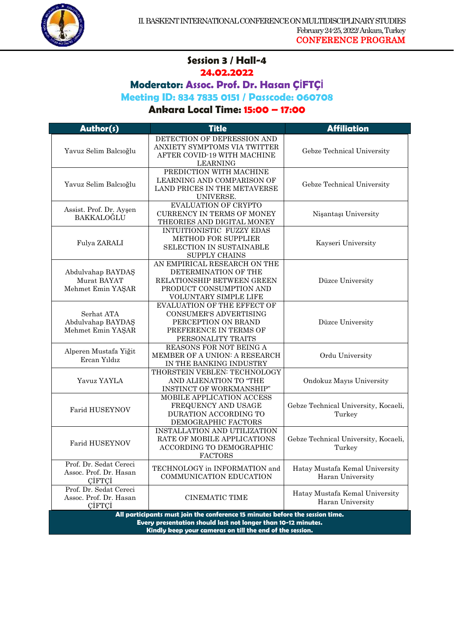

#### **Session 3 / Hall-4 24.02.2022**

1

**Moderator: Assoc. Prof. Dr. Hasan ÇİFTÇİ**

**Meeting ID: 834 7835 0151 / Passcode: 060708**

| Author(s)                                                  | <b>Title</b>                                                                                                                           | <b>Affiliation</b>                                 |
|------------------------------------------------------------|----------------------------------------------------------------------------------------------------------------------------------------|----------------------------------------------------|
| Yavuz Selim Balcıoğlu                                      | DETECTION OF DEPRESSION AND<br>ANXIETY SYMPTOMS VIA TWITTER<br>AFTER COVID-19 WITH MACHINE<br><b>LEARNING</b>                          | Gebze Technical University                         |
| Yavuz Selim Balcıoğlu                                      | PREDICTION WITH MACHINE<br>LEARNING AND COMPARISON OF<br>LAND PRICES IN THE METAVERSE<br>UNIVERSE.                                     | Gebze Technical University                         |
| Assist. Prof. Dr. Ayşen<br>BAKKALOĞLU                      | <b>EVALUATION OF CRYPTO</b><br><b>CURRENCY IN TERMS OF MONEY</b><br>THEORIES AND DIGITAL MONEY                                         | Nisantaşı University                               |
| Fulya ZARALI                                               | INTUITIONISTIC FUZZY EDAS<br><b>METHOD FOR SUPPLIER</b><br>SELECTION IN SUSTAINABLE<br><b>SUPPLY CHAINS</b>                            | Kayseri University                                 |
| Abdulvahap BAYDAŞ<br>Murat BAYAT<br>Mehmet Emin YAŞAR      | AN EMPIRICAL RESEARCH ON THE<br>DETERMINATION OF THE<br>RELATIONSHIP BETWEEN GREEN<br>PRODUCT CONSUMPTION AND<br>VOLUNTARY SIMPLE LIFE | Düzce University                                   |
| Serhat ATA<br>Abdulvahap BAYDAŞ<br>Mehmet Emin YAŞAR       | EVALUATION OF THE EFFECT OF<br><b>CONSUMER'S ADVERTISING</b><br>PERCEPTION ON BRAND<br>PREFERENCE IN TERMS OF<br>PERSONALITY TRAITS    | Düzce University                                   |
| Alperen Mustafa Yiğit<br>Ercan Yıldız                      | REASONS FOR NOT BEING A<br>MEMBER OF A UNION: A RESEARCH<br>IN THE BANKING INDUSTRY                                                    | Ordu University                                    |
| Yavuz YAYLA                                                | THORSTEIN VEBLEN: TECHNOLOGY<br>AND ALIENATION TO "THE<br>INSTINCT OF WORKMANSHIP"                                                     | Ondokuz Mayıs University                           |
| Farid HUSEYNOV                                             | MOBILE APPLICATION ACCESS<br>FREQUENCY AND USAGE<br>DURATION ACCORDING TO<br>DEMOGRAPHIC FACTORS                                       | Gebze Technical University, Kocaeli,<br>Turkey     |
| <b>Farid HUSEYNOV</b>                                      | INSTALLATION AND UTILIZATION<br>RATE OF MOBILE APPLICATIONS<br>ACCORDING TO DEMOGRAPHIC<br><b>FACTORS</b>                              | Gebze Technical University, Kocaeli,<br>Turkey     |
| Prof. Dr. Sedat Cereci<br>Assoc. Prof. Dr. Hasan<br>CIFTCI | TECHNOLOGY in INFORMATION and<br><b>COMMUNICATION EDUCATION</b>                                                                        | Hatay Mustafa Kemal University<br>Haran University |
| Prof. Dr. Sedat Cereci<br>Assoc. Prof. Dr. Hasan<br>CIFTCI | <b>CINEMATIC TIME</b>                                                                                                                  | Hatay Mustafa Kemal University<br>Haran University |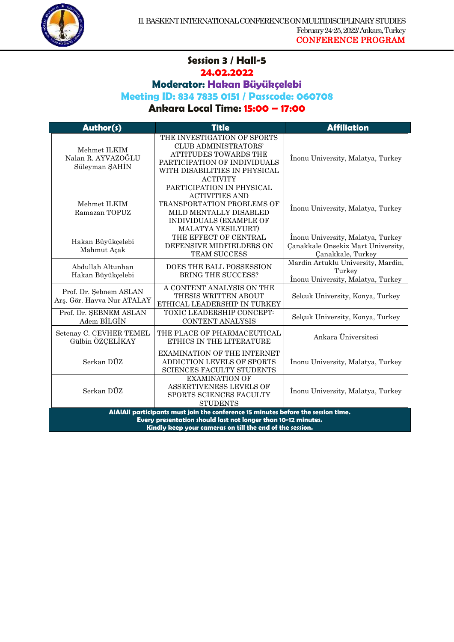

# **Session 3 / Hall-5**

1

# **24.02.2022**

**Moderator: Hakan Büyükçelebi**

#### **Meeting ID: 834 7835 0151 / Passcode: 060708**

| Author(s)                                                                                                                                                                                                      | <b>Title</b>                                                                                                                                                            | <b>Affiliation</b>                                                                           |
|----------------------------------------------------------------------------------------------------------------------------------------------------------------------------------------------------------------|-------------------------------------------------------------------------------------------------------------------------------------------------------------------------|----------------------------------------------------------------------------------------------|
| Mehmet ILKIM<br>Nalan R. AYVAZOĞLU<br>Süleyman ŞAHİN                                                                                                                                                           | THE INVESTIGATION OF SPORTS<br><b>CLUB ADMINISTRATORS'</b><br>ATTITUDES TOWARDS THE<br>PARTICIPATION OF INDIVIDUALS<br>WITH DISABILITIES IN PHYSICAL<br><b>ACTIVITY</b> | Inonu University, Malatya, Turkey                                                            |
| Mehmet ILKIM<br>Ramazan TOPUZ                                                                                                                                                                                  | PARTICIPATION IN PHYSICAL<br><b>ACTIVITIES AND</b><br>TRANSPORTATION PROBLEMS OF<br>MILD MENTALLY DISABLED<br>INDIVIDUALS (EXAMPLE OF<br><b>MALATYA YESILYURT)</b>      | Inonu University, Malatya, Turkey                                                            |
| Hakan Büyükçelebi<br>Mahmut Açak                                                                                                                                                                               | THE EFFECT OF CENTRAL<br>DEFENSIVE MIDFIELDERS ON<br><b>TEAM SUCCESS</b>                                                                                                | İnonu University, Malatya, Turkey<br>Canakkale Onsekiz Mart University,<br>Çanakkale, Turkey |
| Abdullah Altunhan<br>Hakan Büyükçelebi                                                                                                                                                                         | <b>DOES THE BALL POSSESSION</b><br><b>BRING THE SUCCESS?</b>                                                                                                            | Mardin Artuklu University, Mardin,<br>Turkey<br>Inonu University, Malatya, Turkey            |
| Prof. Dr. Sebnem ASLAN<br>Ars. Gör. Havva Nur ATALAY                                                                                                                                                           | A CONTENT ANALYSIS ON THE<br>THESIS WRITTEN ABOUT<br>ETHICAL LEADERSHIP IN TURKEY                                                                                       | Selcuk University, Konya, Turkey                                                             |
| Prof. Dr. ŞEBNEM ASLAN<br>Adem BILGIN                                                                                                                                                                          | TOXIC LEADERSHIP CONCEPT:<br><b>CONTENT ANALYSIS</b>                                                                                                                    | Selçuk University, Konya, Turkey                                                             |
| Setenay C. CEVHER TEMEL<br>Gülbin ÖZÇELİKAY                                                                                                                                                                    | THE PLACE OF PHARMACEUTICAL<br>ETHICS IN THE LITERATURE                                                                                                                 | Ankara Üniversitesi                                                                          |
| Serkan DÜZ                                                                                                                                                                                                     | <b>EXAMINATION OF THE INTERNET</b><br>ADDICTION LEVELS OF SPORTS<br><b>SCIENCES FACULTY STUDENTS</b>                                                                    | Inonu University, Malatya, Turkey                                                            |
| Serkan DÜZ                                                                                                                                                                                                     | <b>EXAMINATION OF</b><br>ASSERTIVENESS LEVELS OF<br>SPORTS SCIENCES FACULTY<br><b>STUDENTS</b>                                                                          | Inonu University, Malatya, Turkey                                                            |
| AIAIAII participants must join the conference 15 minutes before the session time.<br>Every presentation should last not longer than 10-12 minutes.<br>Kindly keep your cameras on till the end of the session. |                                                                                                                                                                         |                                                                                              |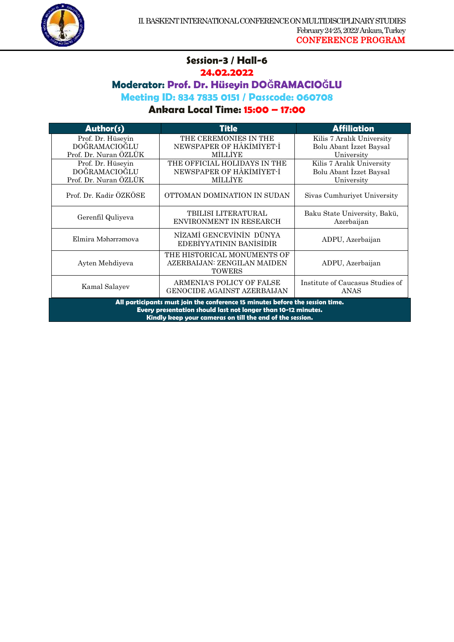

#### **Session-3 / Hall-6 24.02.2022**

1

# **Moderator: Prof. Dr. Hüseyin DOĞRAMACIOĞLU**

**Meeting ID: 834 7835 0151 / Passcode: 060708**

| Author(s)                                                                                                                                                                                                  | Title                                                                       | <b>Affiliation</b>                                                 |
|------------------------------------------------------------------------------------------------------------------------------------------------------------------------------------------------------------|-----------------------------------------------------------------------------|--------------------------------------------------------------------|
| Prof. Dr. Hüseyin<br>DOĞRAMACIOĞLU<br>Prof. Dr. Nuran ÖZLÜK                                                                                                                                                | THE CEREMONIES IN THE<br>NEWSPAPER OF HÂKIMIYET-I<br><b>MILLIYE</b>         | Kilis 7 Aralık University<br>Bolu Abant Izzet Baysal<br>University |
| Prof. Dr. Hüseyin<br>DOĞRAMACIOĞLU<br>Prof. Dr. Nuran ÖZLÜK                                                                                                                                                | THE OFFICIAL HOLIDAYS IN THE<br>NEWSPAPER OF HÂKIMIYET-I<br><b>MILLIYE</b>  | Kilis 7 Aralık University<br>Bolu Abant Izzet Baysal<br>University |
| Prof. Dr. Kadir ÖZKÖSE                                                                                                                                                                                     | OTTOMAN DOMINATION IN SUDAN                                                 | Sivas Cumhuriyet University                                        |
| Gerenfil Quliyeva                                                                                                                                                                                          | TBILISI LITERATURAL<br>ENVIRONMENT IN RESEARCH                              | Baku State University, Bakü,<br>Azerbaijan                         |
| Elmira Məhərrəmova                                                                                                                                                                                         | NİZAMİ GENCEVİNİN DÜNYA<br>EDEBIYYATININ BANISIDIR                          | ADPU, Azerbaijan                                                   |
| Ayten Mehdiyeva                                                                                                                                                                                            | THE HISTORICAL MONUMENTS OF<br>AZERBAIJAN: ZENGILAN MAIDEN<br><b>TOWERS</b> | ADPU, Azerbaijan                                                   |
| Kamal Salayev                                                                                                                                                                                              | ARMENIA'S POLICY OF FALSE<br>GENOCIDE AGAINST AZERBAIJAN                    | Institute of Caucasus Studies of<br>ANAS                           |
| All participants must join the conference 15 minutes before the session time.<br>Every presentation should last not longer than 10-12 minutes.<br>Kindly keep your cameras on till the end of the session. |                                                                             |                                                                    |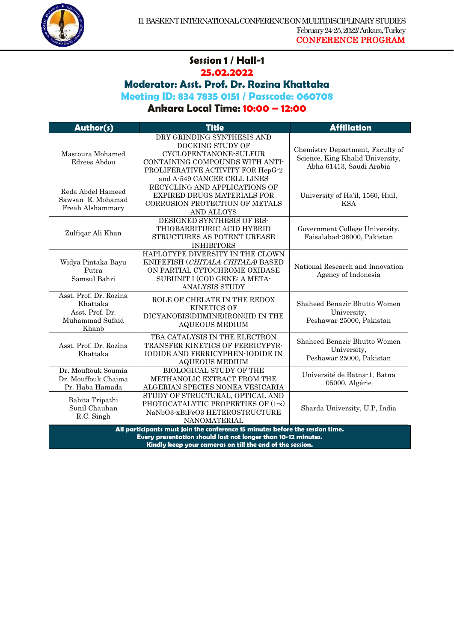

# **Session 1 / Hall-1**

1

## **25.02.2022**

## **Moderator: Asst. Prof. Dr. Rozina Khattaka**

**Meeting ID: 834 7835 0151 / Passcode: 060708**

| Author(s)                                                                                                                                                                                                  | Title                                                                                                                                                                          | <b>Affiliation</b>                                                                               |
|------------------------------------------------------------------------------------------------------------------------------------------------------------------------------------------------------------|--------------------------------------------------------------------------------------------------------------------------------------------------------------------------------|--------------------------------------------------------------------------------------------------|
| Mastoura Mohamed<br>Edrees Abdou                                                                                                                                                                           | DRY GRINDING SYNTHESIS AND<br>DOCKING STUDY OF<br>CYCLOPENTANONE-SULFUR<br>CONTAINING COMPOUNDS WITH ANTI-<br>PROLIFERATIVE ACTIVITY FOR HepG-2<br>and A-549 CANCER CELL LINES | Chemistry Department, Faculty of<br>Science, King Khalid University,<br>Abha 61413, Saudi Arabia |
| Reda Abdel Hameed<br>Sawsan E. Mohamad<br>Freah Alshammary                                                                                                                                                 | RECYCLING AND APPLICATIONS OF<br><b>EXPIRED DRUGS MATERIALS FOR</b><br>CORROSION PROTECTION OF METALS<br><b>AND ALLOYS</b>                                                     | University of Ha'il, 1560, Hail,<br><b>KSA</b>                                                   |
| Zulfiqar Ali Khan                                                                                                                                                                                          | DESIGNED SYNTHESIS OF BIS-<br>THIOBARBITURIC ACID HYBRID<br>STRUCTURES AS POTENT UREASE<br><b>INHIBITORS</b>                                                                   | Government College University,<br>Faisalabad-38000, Pakistan                                     |
| Widya Pintaka Bayu<br>Putra<br>Samsul Bahri                                                                                                                                                                | HAPLOTYPE DIVERSITY IN THE CLOWN<br>KNIFEFISH (CHITALA CHITALA) BASED<br>ON PARTIAL CYTOCHROME OXIDASE<br>SUBUNIT I (COI) GENE: A META-<br>ANALYSIS STUDY                      | National Research and Innovation<br>Agency of Indonesia                                          |
| Asst. Prof. Dr. Rozina<br>Khattaka<br>Asst. Prof. Dr.<br>Muhammad Sufaid<br>Khanb                                                                                                                          | ROLE OF CHELATE IN THE REDOX<br><b>KINETICS OF</b><br>DICYANOBIS(DIIMINE)IRON(III) IN THE<br><b>AQUEOUS MEDIUM</b>                                                             | Shaheed Benazir Bhutto Women<br>University,<br>Peshawar 25000, Pakistan                          |
| Asst. Prof. Dr. Rozina<br>Khattaka                                                                                                                                                                         | TBA CATALYSIS IN THE ELECTRON<br>TRANSFER KINETICS OF FERRICYPYR-<br>IODIDE AND FERRICYPHEN-IODIDE IN<br><b>AQUEOUS MEDIUM</b>                                                 | Shaheed Benazir Bhutto Women<br>University,<br>Peshawar 25000, Pakistan                          |
| Dr. Mouffouk Soumia<br>Dr. Mouffouk Chaima<br>Pr. Haba Hamada                                                                                                                                              | <b>BIOLOGICAL STUDY OF THE</b><br>METHANOLIC EXTRACT FROM THE<br>ALGERIAN SPECIES NONEA VESICARIA                                                                              | Université de Batna-1, Batna<br>05000, Algérie                                                   |
| Babita Tripathi<br>Sunil Chauhan<br>R.C. Singh                                                                                                                                                             | STUDY OF STRUCTURAL, OPTICAL AND<br>PHOTOCATALYTIC PROPERTIES OF (1-x)<br>NaNbO3-xBiFeO3 HETEROSTRUCTURE<br>NANOMATERIAL                                                       | Sharda University, U.P, India                                                                    |
| All participants must join the conference 15 minutes before the session time.<br>Every presentation should last not longer than 10-12 minutes.<br>Kindly keep your cameras on till the end of the session. |                                                                                                                                                                                |                                                                                                  |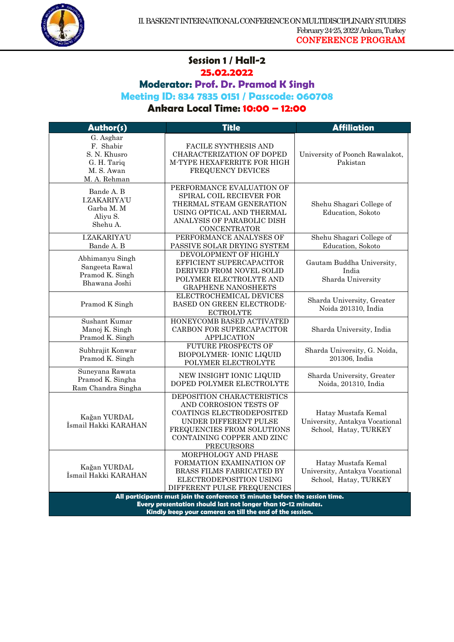

#### **Session 1 / Hall-2 25.02.2022**

1

**Moderator: Prof. Dr. Pramod K Singh**

**Meeting ID: 834 7835 0151 / Passcode: 060708**

## **Ankara Local Time: 10:00 – 12:00**

| Author(s)                                                                                                                                                                                                        | <b>Title</b>                                                                                                                                                                                | <b>Affiliation</b>                                                             |
|------------------------------------------------------------------------------------------------------------------------------------------------------------------------------------------------------------------|---------------------------------------------------------------------------------------------------------------------------------------------------------------------------------------------|--------------------------------------------------------------------------------|
| G. Asghar<br>F. Shabir<br>S. N. Khusro<br>G. H. Tariq<br>M. S. Awan<br>M. A. Rehman                                                                                                                              | FACILE SYNTHESIS AND<br>CHARACTERIZATION OF DOPED<br>M-TYPE HEXAFERRITE FOR HIGH<br>FREQUENCY DEVICES                                                                                       | University of Poonch Rawalakot,<br>Pakistan                                    |
| Bande A. B<br><b>I.ZAKARIYA'U</b><br>Garba M. M<br>Aliyu S.<br>Shehu A.                                                                                                                                          | PERFORMANCE EVALUATION OF<br>SPIRAL COIL RECIEVER FOR<br>THERMAL STEAM GENERATION<br>USING OPTICAL AND THERMAL<br>ANALYSIS OF PARABOLIC DISH<br><b>CONCENTRATOR</b>                         | Shehu Shagari College of<br>Education, Sokoto                                  |
| <b>I.ZAKARIYA'U</b><br>Bande A. B                                                                                                                                                                                | PERFORMANCE ANALYSES OF<br>PASSIVE SOLAR DRYING SYSTEM                                                                                                                                      | Shehu Shagari College of<br>Education, Sokoto                                  |
| Abhimanyu Singh<br>Sangeeta Rawal<br>Pramod K. Singh<br>Bhawana Joshi                                                                                                                                            | DEVOLOPMENT OF HIGHLY<br>EFFICIENT SUPERCAPACITOR<br>DERIVED FROM NOVEL SOLID<br>POLYMER ELECTROLYTE AND<br><b>GRAPHENE NANOSHEETS</b>                                                      | Gautam Buddha University,<br>India<br>Sharda University                        |
| Pramod K Singh                                                                                                                                                                                                   | ELECTROCHEMICAL DEVICES<br>BASED ON GREEN ELECTRODE-<br><b>ECTROLYTE</b>                                                                                                                    | Sharda University, Greater<br>Noida 201310, India                              |
| Sushant Kumar<br>Manoj K. Singh<br>Pramod K. Singh                                                                                                                                                               | HONEYCOMB BASED ACTIVATED<br>CARBON FOR SUPERCAPACITOR<br><b>APPLICATION</b>                                                                                                                | Sharda University, India                                                       |
| Subhrajit Konwar<br>Pramod K. Singh                                                                                                                                                                              | <b>FUTURE PROSPECTS OF</b><br>BIOPOLYMER- IONIC LIQUID<br>POLYMER ELECTROLYTE                                                                                                               | Sharda University, G. Noida,<br>201306, India                                  |
| Suneyana Rawata<br>Pramod K. Singha<br>Ram Chandra Singha                                                                                                                                                        | NEW INSIGHT IONIC LIQUID<br>DOPED POLYMER ELECTROLYTE                                                                                                                                       | Sharda University, Greater<br>Noida, 201310, India                             |
| Kağan YURDAL<br>İsmail Hakki KARAHAN                                                                                                                                                                             | DEPOSITION CHARACTERISTICS<br>AND CORROSION TESTS OF<br>COATINGS ELECTRODEPOSITED<br>UNDER DIFFERENT PULSE<br>FREQUENCIES FROM SOLUTIONS<br>CONTAINING COPPER AND ZINC<br><b>PRECURSORS</b> | Hatay Mustafa Kemal<br>University, Antakya Vocational<br>School, Hatay, TURKEY |
| Kağan YURDAL<br>Ismail Hakki KARAHAN                                                                                                                                                                             | MORPHOLOGY AND PHASE<br>FORMATION EXAMINATION OF<br><b>BRASS FILMS FABRICATED BY</b><br>ELECTRODEPOSITION USING<br>DIFFERENT PULSE FREQUENCIES                                              | Hatay Mustafa Kemal<br>University, Antakya Vocational<br>School, Hatay, TURKEY |
| All participants must join the conference 15 minutes before the session time.<br>Every presentation should last not longer than 10-12 minutes.<br><u> Utadhi kaan iisiin samaana an All Aka and af Aka sasta</u> |                                                                                                                                                                                             |                                                                                |

**Kindly keep your cameras on till the end of the session.**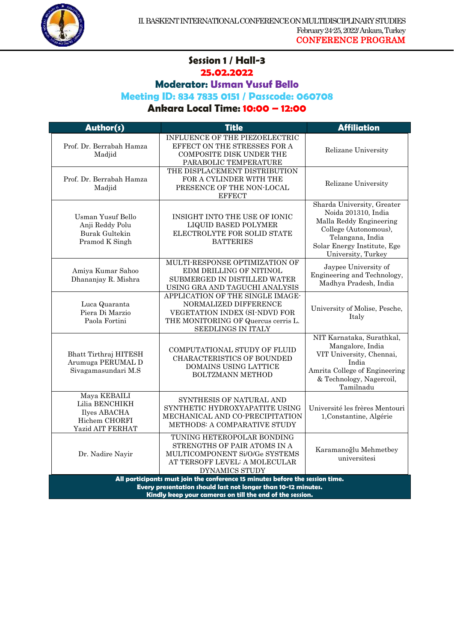

#### **Session 1 / Hall-3 25.02.2022**

1

**Moderator: Usman Yusuf Bello**

#### **Meeting ID: 834 7835 0151 / Passcode: 060708**

| Author(s)                                                                           | <b>Title</b>                                                                                                                                                                                               | <b>Affiliation</b>                                                                                                                                                             |
|-------------------------------------------------------------------------------------|------------------------------------------------------------------------------------------------------------------------------------------------------------------------------------------------------------|--------------------------------------------------------------------------------------------------------------------------------------------------------------------------------|
| Prof. Dr. Berrabah Hamza<br>Madjid                                                  | INFLUENCE OF THE PIEZOELECTRIC<br>EFFECT ON THE STRESSES FOR A<br>COMPOSITE DISK UNDER THE<br>PARABOLIC TEMPERATURE                                                                                        | Relizane University                                                                                                                                                            |
| Prof. Dr. Berrabah Hamza<br>Madjid                                                  | THE DISPLACEMENT DISTRIBUTION<br>FOR A CYLINDER WITH THE<br>PRESENCE OF THE NON-LOCAL<br><b>EFFECT</b>                                                                                                     | Relizane University                                                                                                                                                            |
| <b>Usman Yusuf Bello</b><br>Anji Reddy Polu<br>Burak Gultekin<br>Pramod K Singh     | INSIGHT INTO THE USE OF IONIC<br>LIQUID BASED POLYMER<br>ELECTROLYTE FOR SOLID STATE<br><b>BATTERIES</b>                                                                                                   | Sharda University, Greater<br>Noida 201310, India<br>Malla Reddy Engineering<br>College (Autonomous),<br>Telangana, India<br>Solar Energy Institute, Ege<br>University, Turkey |
| Amiya Kumar Sahoo<br>Dhananjay R. Mishra                                            | MULTI-RESPONSE OPTIMIZATION OF<br>EDM DRILLING OF NITINOL<br>SUBMERGED IN DISTILLED WATER<br>USING GRA AND TAGUCHI ANALYSIS                                                                                | Jaypee University of<br>Engineering and Technology,<br>Madhya Pradesh, India                                                                                                   |
| Luca Quaranta<br>Piera Di Marzio<br>Paola Fortini                                   | APPLICATION OF THE SINGLE IMAGE-<br>NORMALIZED DIFFERENCE<br>VEGETATION INDEX (SI-NDVI) FOR<br>THE MONITORING OF Quercus cerris L.<br>SEEDLINGS IN ITALY                                                   | University of Molise, Pesche,<br>Italy                                                                                                                                         |
| Bhatt Tirthraj HITESH<br>Arumuga PERUMAL D<br>Sivagamasundari M.S                   | COMPUTATIONAL STUDY OF FLUID<br><b>CHARACTERISTICS OF BOUNDED</b><br>DOMAINS USING LATTICE<br><b>BOLTZMANN METHOD</b>                                                                                      | NIT Karnataka, Surathkal,<br>Mangalore, India<br>VIT University, Chennai,<br>India<br>Amrita College of Engineering<br>& Technology, Nagercoil,<br>Tamilnadu                   |
| Maya KEBAILI<br>Lilia BENCHIKH<br>Ilyes ABACHA<br>Hichem CHORFI<br>Yazid AIT FERHAT | SYNTHESIS OF NATURAL AND<br>SYNTHETIC HYDROXYAPATITE USING<br>MECHANICAL AND CO-PRECIPITATION<br>METHODS: A COMPARATIVE STUDY                                                                              | Université les frères Mentouri<br>1, Constantine, Algérie                                                                                                                      |
| Dr. Nadire Nayir                                                                    | TUNING HETEROPOLAR BONDING<br>STRENGTHS OF PAIR ATOMS IN A<br>MULTICOMPONENT Si/O/Ge SYSTEMS<br>AT TERSOFF LEVEL: A MOLECULAR<br>DYNAMICS STUDY                                                            | Karamanoğlu Mehmetbey<br>universitesi                                                                                                                                          |
|                                                                                     | All participants must join the conference 15 minutes before the session time.<br>Every presentation should last not longer than 10-12 minutes.<br>Kindly keep your cameras on till the end of the session. |                                                                                                                                                                                |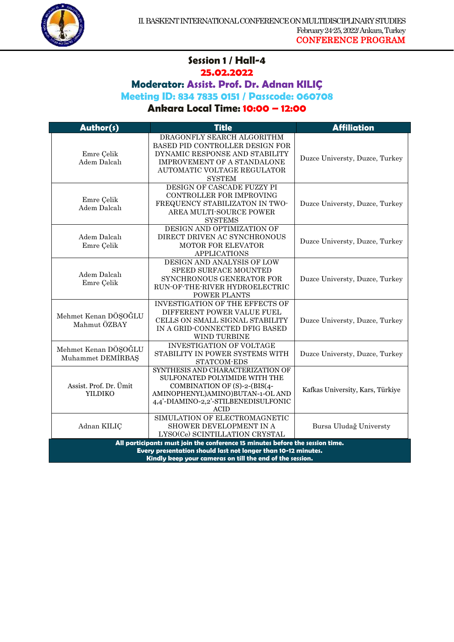

## **Session 1 / Hall-4 25.02.2022**

1

**Moderator: Assist. Prof. Dr. Adnan KILIÇ**

**Meeting ID: 834 7835 0151 / Passcode: 060708**

| Author(s)                                                                                                                                      | <b>Title</b>                                                                                                                                                                                         | <b>Affiliation</b>               |
|------------------------------------------------------------------------------------------------------------------------------------------------|------------------------------------------------------------------------------------------------------------------------------------------------------------------------------------------------------|----------------------------------|
| Emre Çelik<br>Adem Dalcalı                                                                                                                     | DRAGONFLY SEARCH ALGORITHM<br>BASED PID CONTROLLER DESIGN FOR<br>DYNAMIC RESPONSE AND STABILITY<br>IMPROVEMENT OF A STANDALONE<br>AUTOMATIC VOLTAGE REGULATOR<br><b>SYSTEM</b>                       | Duzce Universty, Duzce, Turkey   |
| Emre Çelik<br>Adem Dalcalı                                                                                                                     | DESIGN OF CASCADE FUZZY PI<br>CONTROLLER FOR IMPROVING<br>FREQUENCY STABILIZATON IN TWO-<br>AREA MULTI-SOURCE POWER<br><b>SYSTEMS</b>                                                                | Duzce Universty, Duzce, Turkey   |
| Adem Dalcalı<br>Emre Çelik                                                                                                                     | DESIGN AND OPTIMIZATION OF<br>DIRECT DRIVEN AC SYNCHRONOUS<br>MOTOR FOR ELEVATOR<br><b>APPLICATIONS</b>                                                                                              | Duzce Universty, Duzce, Turkey   |
| Adem Dalcalı<br>Emre Çelik                                                                                                                     | DESIGN AND ANALYSIS OF LOW<br>SPEED SURFACE MOUNTED<br>SYNCHRONOUS GENERATOR FOR<br>RUN-OF-THE-RIVER HYDROELECTRIC<br>POWER PLANTS                                                                   | Duzce Universty, Duzce, Turkey   |
| Mehmet Kenan DÖŞOĞLU<br>Mahmut ÖZBAY                                                                                                           | <b>INVESTIGATION OF THE EFFECTS OF</b><br>DIFFERENT POWER VALUE FUEL<br>CELLS ON SMALL SIGNAL STABILITY<br>IN A GRID-CONNECTED DFIG BASED<br>WIND TURBINE                                            | Duzce Universty, Duzce, Turkey   |
| Mehmet Kenan DÖŞOĞLU<br>Muhammet DEMIRBAS                                                                                                      | <b>INVESTIGATION OF VOLTAGE</b><br>STABILITY IN POWER SYSTEMS WITH<br>STATCOM-EDS                                                                                                                    | Duzce Universty, Duzce, Turkey   |
| Assist. Prof. Dr. Ümit<br><b>YILDIKO</b>                                                                                                       | SYNTHESIS AND CHARACTERIZATION OF<br><b>SULFONATED POLYIMIDE WITH THE</b><br>COMBINATION OF (S)-2-(BIS(4-<br>AMINOPHENYL)AMINO)BUTAN-1-OL AND<br>4,4'-DIAMINO-2,2'-STILBENEDISULFONIC<br><b>ACID</b> | Kafkas University, Kars, Türkiye |
| Adnan KILIC                                                                                                                                    | SIMULATION OF ELECTROMAGNETIC<br>SHOWER DEVELOPMENT IN A<br>LYSO(Ce) SCINTILLATION CRYSTAL                                                                                                           | Bursa Uludağ Universty           |
| All participants must join the conference 15 minutes before the session time.<br>Every presentation should last not longer than 10-12 minutes. |                                                                                                                                                                                                      |                                  |
| Kindly keep your cameras on till the end of the session.                                                                                       |                                                                                                                                                                                                      |                                  |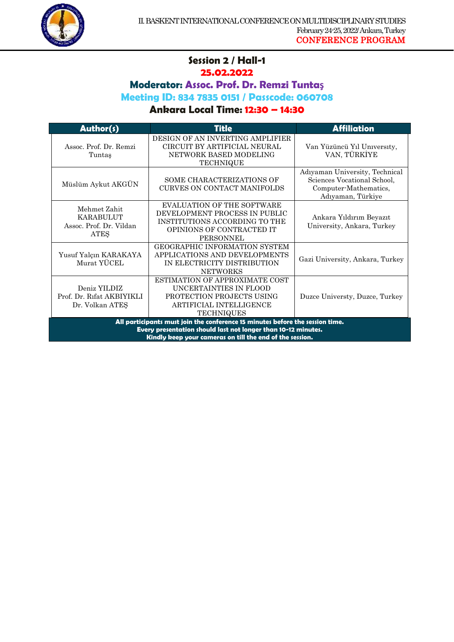

## **Session 2 / Hall-1 25.02.2022**

1

**Moderator: Assoc. Prof. Dr. Remzi Tuntaş**

**Meeting ID: 834 7835 0151 / Passcode: 060708**

| Author(s)                                                                                                                                                                                                  | <b>Title</b>                                                                                                                                         | <b>Affiliation</b>                                                                                          |
|------------------------------------------------------------------------------------------------------------------------------------------------------------------------------------------------------------|------------------------------------------------------------------------------------------------------------------------------------------------------|-------------------------------------------------------------------------------------------------------------|
| Assoc. Prof. Dr. Remzi<br>Tuntaş                                                                                                                                                                           | DESIGN OF AN INVERTING AMPLIFIER<br>CIRCUIT BY ARTIFICIAL NEURAL<br>NETWORK BASED MODELING<br><b>TECHNIQUE</b>                                       | Van Yüzüncü Yıl University,<br>VAN, TÜRKİYE                                                                 |
| Müslüm Aykut AKGÜN                                                                                                                                                                                         | SOME CHARACTERIZATIONS OF<br><b>CURVES ON CONTACT MANIFOLDS</b>                                                                                      | Adiyaman University, Technical<br>Sciences Vocational School,<br>Computer-Mathematics,<br>Adıyaman, Türkiye |
| Mehmet Zahit<br><b>KARABULUT</b><br>Assoc. Prof. Dr. Vildan<br><b>ATES</b>                                                                                                                                 | <b>EVALUATION OF THE SOFTWARE</b><br>DEVELOPMENT PROCESS IN PUBLIC<br>INSTITUTIONS ACCORDING TO THE<br>OPINIONS OF CONTRACTED IT<br><b>PERSONNEL</b> | Ankara Yıldırım Beyazıt<br>University, Ankara, Turkey                                                       |
| Yusuf Yalçın KARAKAYA<br>Murat YÜCEL                                                                                                                                                                       | GEOGRAPHIC INFORMATION SYSTEM<br>APPLICATIONS AND DEVELOPMENTS<br>IN ELECTRICITY DISTRIBUTION<br><b>NETWORKS</b>                                     | Gazi University, Ankara, Turkey                                                                             |
| Deniz YILDIZ<br>Prof. Dr. Rifat AKBIYIKLI<br>Dr. Volkan ATES                                                                                                                                               | ESTIMATION OF APPROXIMATE COST<br>UNCERTAINTIES IN FLOOD<br>PROTECTION PROJECTS USING<br>ARTIFICIAL INTELLIGENCE<br><b>TECHNIQUES</b>                | Duzce Universty, Duzce, Turkey                                                                              |
| All participants must join the conference 15 minutes before the session time.<br>Every presentation should last not longer than 10-12 minutes.<br>Kindly keep your cameras on till the end of the session. |                                                                                                                                                      |                                                                                                             |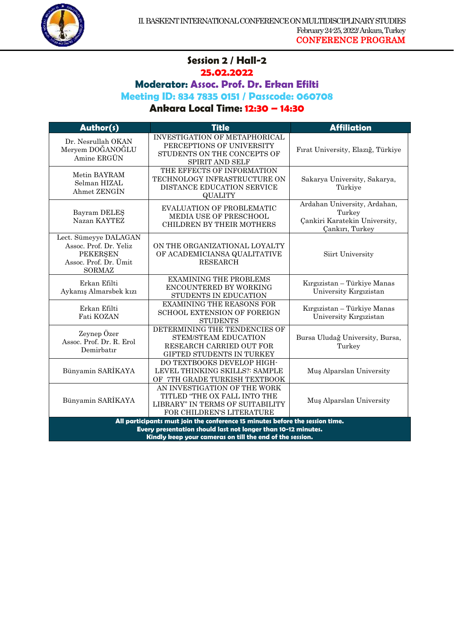

#### **Session 2 / Hall-2 25.02.2022**

1

**Moderator: Assoc. Prof. Dr. Erkan Efilti** 

**Meeting ID: 834 7835 0151 / Passcode: 060708**

| Author(s)                                                                                                                                                                                                  | <b>Title</b>                                                                                                                  | <b>Affiliation</b>                                                                         |
|------------------------------------------------------------------------------------------------------------------------------------------------------------------------------------------------------------|-------------------------------------------------------------------------------------------------------------------------------|--------------------------------------------------------------------------------------------|
| Dr. Nesrullah OKAN<br>Meryem DOĞANOĞLU<br>Amine ERGUN                                                                                                                                                      | <b>INVESTIGATION OF METAPHORICAL</b><br>PERCEPTIONS OF UNIVERSITY<br>STUDENTS ON THE CONCEPTS OF<br>SPIRIT AND SELF           | Fırat University, Elazığ, Türkiye                                                          |
| Metin BAYRAM<br>Selman HIZAL<br>Ahmet ZENGIN                                                                                                                                                               | THE EFFECTS OF INFORMATION<br>TECHNOLOGY INFRASTRUCTURE ON<br>DISTANCE EDUCATION SERVICE<br><b>QUALITY</b>                    | Sakarya University, Sakarya,<br>Türkiye                                                    |
| Bayram DELES<br>Nazan KAYTEZ                                                                                                                                                                               | <b>EVALUATION OF PROBLEMATIC</b><br>MEDIA USE OF PRESCHOOL<br><b>CHILDREN BY THEIR MOTHERS</b>                                | Ardahan University, Ardahan,<br>Turkey<br>Çankiri Karatekin University,<br>Çankırı, Turkey |
| Lect. Sümeyye DALAGAN<br>Assoc. Prof. Dr. Yeliz<br><b>PEKERSEN</b><br>Assoc. Prof. Dr. Ümit<br><b>SORMAZ</b>                                                                                               | ON THE ORGANIZATIONAL LOYALTY<br>OF ACADEMICIANSA QUALITATIVE<br><b>RESEARCH</b>                                              | Siirt University                                                                           |
| Erkan Efilti<br>Aykanış Almarsbek kızı                                                                                                                                                                     | <b>EXAMINING THE PROBLEMS</b><br>ENCOUNTERED BY WORKING<br>STUDENTS IN EDUCATION                                              | Kırgızistan - Türkiye Manas<br>University Kırgızistan                                      |
| Erkan Efilti<br>Fati KOZAN                                                                                                                                                                                 | <b>EXAMINING THE REASONS FOR</b><br><b>SCHOOL EXTENSION OF FOREIGN</b><br><b>STUDENTS</b>                                     | Kırgızistan - Türkiye Manas<br>University Kırgızistan                                      |
| Zeynep Özer<br>Assoc. Prof. Dr. R. Erol<br>Demirbatır                                                                                                                                                      | DETERMINING THE TENDENCIES OF<br>STEM/STEAM EDUCATION<br>RESEARCH CARRIED OUT FOR<br>GIFTED STUDENTS IN TURKEY                | Bursa Uludağ University, Bursa,<br>Turkey                                                  |
| Bünyamin SARİKAYA                                                                                                                                                                                          | DO TEXTBOOKS DEVELOP HIGH-<br>LEVEL THINKING SKILLS?: SAMPLE<br>OF 7TH GRADE TURKISH TEXTBOOK                                 | Muş Alparslan University                                                                   |
| Bünyamin SARİKAYA                                                                                                                                                                                          | AN INVESTIGATION OF THE WORK<br>TITLED "THE OX FALL INTO THE<br>LIBRARY" IN TERMS OF SUITABILITY<br>FOR CHILDREN'S LITERATURE | Muş Alparslan University                                                                   |
| All participants must join the conference 15 minutes before the session time.<br>Every presentation should last not longer than 10-12 minutes.<br>Kindly keep your cameras on till the end of the session. |                                                                                                                               |                                                                                            |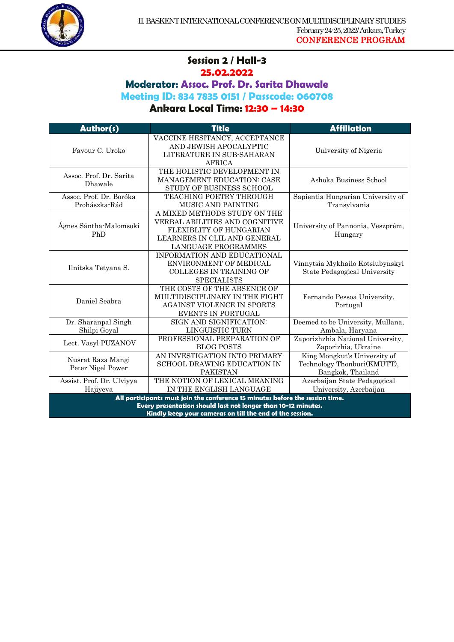

#### **Session 2 / Hall-3 25.02.2022**

1

**Moderator: Assoc. Prof. Dr. Sarita Dhawale**

**Meeting ID: 834 7835 0151 / Passcode: 060708**

| Author(s)                                                                                                                                                                                                  | <b>Title</b>                                                                                                                                     | <b>Affiliation</b>                                                               |
|------------------------------------------------------------------------------------------------------------------------------------------------------------------------------------------------------------|--------------------------------------------------------------------------------------------------------------------------------------------------|----------------------------------------------------------------------------------|
| Favour C. Uroko                                                                                                                                                                                            | VACCINE HESITANCY, ACCEPTANCE<br>AND JEWISH APOCALYPTIC<br>LITERATURE IN SUB-SAHARAN<br><b>AFRICA</b>                                            | University of Nigeria                                                            |
| Assoc. Prof. Dr. Sarita<br>Dhawale                                                                                                                                                                         | THE HOLISTIC DEVELOPMENT IN<br><b>MANAGEMENT EDUCATION: CASE</b><br>STUDY OF BUSINESS SCHOOL                                                     | Ashoka Business School                                                           |
| Assoc. Prof. Dr. Boróka<br>Prohászka-Rád                                                                                                                                                                   | TEACHING POETRY THROUGH<br>MUSIC AND PAINTING                                                                                                    | Sapientia Hungarian University of<br>Transylvania                                |
| Ágnes Sántha-Malomsoki<br>PhD                                                                                                                                                                              | A MIXED METHODS STUDY ON THE<br>VERBAL ABILITIES AND COGNITIVE<br>FLEXIBLITY OF HUNGARIAN<br>LEARNERS IN CLIL AND GENERAL<br>LANGUAGE PROGRAMMES | University of Pannonia, Veszprém,<br>Hungary                                     |
| Ilnitska Tetyana S.                                                                                                                                                                                        | INFORMATION AND EDUCATIONAL<br>ENVIRONMENT OF MEDICAL<br>COLLEGES IN TRAINING OF<br><b>SPECIALISTS</b>                                           | Vinnytsia Mykhailo Kotsiubynskyi<br><b>State Pedagogical University</b>          |
| Daniel Seabra                                                                                                                                                                                              | THE COSTS OF THE ABSENCE OF<br>MULTIDISCIPLINARY IN THE FIGHT<br><b>AGAINST VIOLENCE IN SPORTS</b><br>EVENTS IN PORTUGAL                         | Fernando Pessoa University,<br>Portugal                                          |
| Dr. Sharanpal Singh<br>Shilpi Goyal                                                                                                                                                                        | SIGN AND SIGNIFICATION:<br>LINGUISTIC TURN                                                                                                       | Deemed to be University, Mullana,<br>Ambala, Haryana                             |
| Lect. Vasyl PUZANOV                                                                                                                                                                                        | PROFESSIONAL PREPARATION OF<br><b>BLOG POSTS</b>                                                                                                 | Zaporizhzhia National University,<br>Zaporizhia, Ukraine                         |
| Nusrat Raza Mangi<br>Peter Nigel Power                                                                                                                                                                     | AN INVESTIGATION INTO PRIMARY<br><b>SCHOOL DRAWING EDUCATION IN</b><br><b>PAKISTAN</b>                                                           | King Mongkut's University of<br>Technology Thonburi(KMUTT),<br>Bangkok, Thailand |
| Assist. Prof. Dr. Ulviyya<br>Hajiyeva                                                                                                                                                                      | THE NOTION OF LEXICAL MEANING<br>IN THE ENGLISH LANGUAGE                                                                                         | Azerbaijan State Pedagogical<br>University, Azerbaijan                           |
| All participants must join the conference 15 minutes before the session time.<br>Every presentation should last not longer than 10-12 minutes.<br>Kindly keep your cameras on till the end of the session. |                                                                                                                                                  |                                                                                  |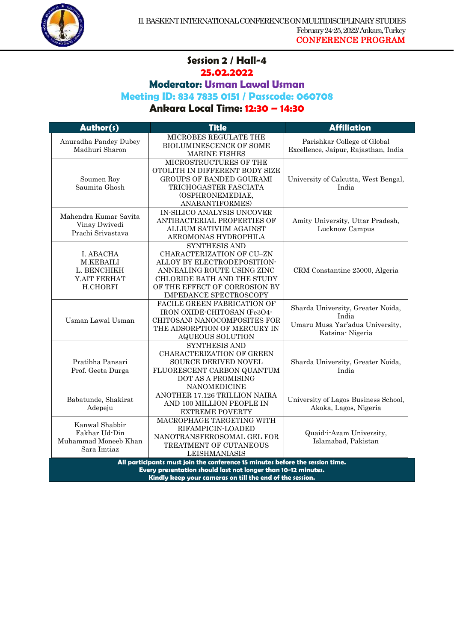

#### **Session 2 / Hall-4 25.02.2022**

1

**Moderator: Usman Lawal Usman**

**Meeting ID: 834 7835 0151 / Passcode: 060708**

| Author(s)                                                                                                                                                                                                  | <b>Title</b>                                                                                                                                                                                             | <b>Affiliation</b>                                                                               |
|------------------------------------------------------------------------------------------------------------------------------------------------------------------------------------------------------------|----------------------------------------------------------------------------------------------------------------------------------------------------------------------------------------------------------|--------------------------------------------------------------------------------------------------|
| Anuradha Pandey Dubey<br>Madhuri Sharon                                                                                                                                                                    | MICROBES REGULATE THE<br><b>BIOLUMINESCENCE OF SOME</b><br><b>MARINE FISHES</b>                                                                                                                          | Parishkar College of Global<br>Excellence, Jaipur, Rajasthan, India                              |
| Soumen Roy<br>Saumita Ghosh                                                                                                                                                                                | MICROSTRUCTURES OF THE<br>OTOLITH IN DIFFERENT BODY SIZE<br>GROUPS OF BANDED GOURAMI<br>TRICHOGASTER FASCIATA<br>(OSPHRONEMEDIAE,<br>ANABANTIFORMES)                                                     | University of Calcutta, West Bengal,<br>India                                                    |
| Mahendra Kumar Savita<br>Vinay Dwivedi<br>Prachi Srivastava                                                                                                                                                | IN-SILICO ANALYSIS UNCOVER<br>ANTIBACTERIAL PROPERTIES OF<br>ALLIUM SATIVUM AGAINST<br>AEROMONAS HYDROPHILA                                                                                              | Amity University, Uttar Pradesh,<br>Lucknow Campus                                               |
| I. ABACHA<br><b>M.KEBAILI</b><br>L. BENCHIKH<br>Y.AIT FERHAT<br>H.CHORFI                                                                                                                                   | <b>SYNTHESIS AND</b><br>CHARACTERIZATION OF CU-ZN<br>ALLOY BY ELECTRODEPOSITION-<br>ANNEALING ROUTE USING ZINC<br>CHLORIDE BATH AND THE STUDY<br>OF THE EFFECT OF CORROSION BY<br>IMPEDANCE SPECTROSCOPY | CRM Constantine 25000, Algeria                                                                   |
| Usman Lawal Usman                                                                                                                                                                                          | FACILE GREEN FABRICATION OF<br>IRON OXIDE-CHITOSAN (Fe3O4-<br>CHITOSAN) NANOCOMPOSITES FOR<br>THE ADSORPTION OF MERCURY IN<br>AQUEOUS SOLUTION                                                           | Sharda University, Greater Noida,<br>India<br>Umaru Musa Yar'adua University,<br>Katsina Nigeria |
| Pratibha Pansari<br>Prof. Geeta Durga                                                                                                                                                                      | <b>SYNTHESIS AND</b><br><b>CHARACTERIZATION OF GREEN</b><br>SOURCE DERIVED NOVEL<br>FLUORESCENT CARBON QUANTUM<br>DOT AS A PROMISING<br>NANOMEDICINE                                                     | Sharda University, Greater Noida,<br>India                                                       |
| Babatunde, Shakirat<br>Adepeju                                                                                                                                                                             | ANOTHER 17.126 TRILLION NAIRA<br>AND 100 MILLION PEOPLE IN<br><b>EXTREME POVERTY</b>                                                                                                                     | University of Lagos Business School,<br>Akoka, Lagos, Nigeria                                    |
| Kanwal Shabbir<br>Fakhar Ud-Din<br>Muhammad Moneeb Khan<br>Sara Imtiaz                                                                                                                                     | MACROPHAGE TARGETING WITH<br>RIFAMPICIN-LOADED<br>NANOTRANSFEROSOMAL GEL FOR<br>TREATMENT OF CUTANEOUS<br>LEISHMANIASIS                                                                                  | Quaid-i-Azam University,<br>Islamabad, Pakistan                                                  |
| All participants must join the conference 15 minutes before the session time.<br>Every presentation should last not longer than 10-12 minutes.<br>Kindly keep your cameras on till the end of the session. |                                                                                                                                                                                                          |                                                                                                  |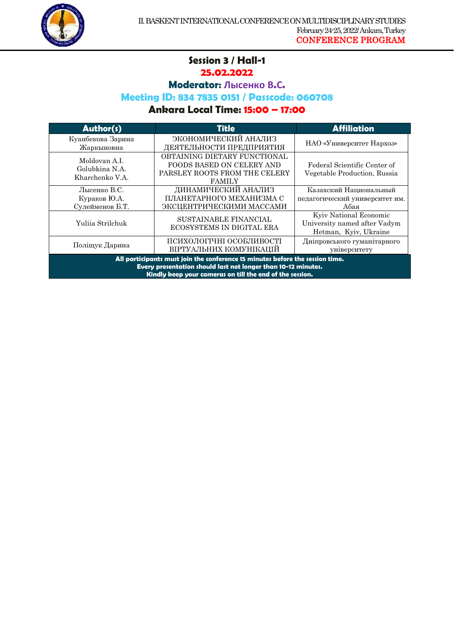

#### **Session 3 / Hall-1 25.02.2022**

1

**Moderator: Лысенко В.С.**

## **Meeting ID: 834 7835 0151 / Passcode: 060708**

| <b>Author(s)</b>                                                                                                                                                                                           | <b>Title</b>                                                                                                       | <b>Affiliation</b>                                                              |
|------------------------------------------------------------------------------------------------------------------------------------------------------------------------------------------------------------|--------------------------------------------------------------------------------------------------------------------|---------------------------------------------------------------------------------|
| Куанбекова Зарина<br>Жаркыновна                                                                                                                                                                            | ЭКОНОМИЧЕСКИЙ АНАЛИЗ<br>ДЕЯТЕЛЬНОСТИ ПРЕДПРИЯТИЯ                                                                   | НАО «Университет Нархоз»                                                        |
| Moldovan A.I.<br>Golubkina N.A.<br>Kharchenko V.A.                                                                                                                                                         | OBTAINING DIETARY FUNCTIONAL<br><b>FOODS BASED ON CELERY AND</b><br>PARSLEY ROOTS FROM THE CELERY<br><b>FAMILY</b> | Federal Scientific Center of<br>Vegetable Production, Russia                    |
| Лысенко В.С.<br>Кураков Ю.А.<br>Сулейменов Б.Т.                                                                                                                                                            | ДИНАМИЧЕСКИЙ АНАЛИЗ<br>ПЛАНЕТАРНОГО МЕХАНИЗМА С<br>ЭКСЦЕНТРИЧЕСКИМИ МАССАМИ                                        | Казахский Национальный<br>педагогический университет им.<br>Абая                |
| Yulija Strilchuk                                                                                                                                                                                           | <b>SUSTAINABLE FINANCIAL</b><br>ECOSYSTEMS IN DIGITAL ERA                                                          | Kyiv National Economic<br>University named after Vadym<br>Hetman, Kyiv, Ukraine |
| Поліщук Дарина                                                                                                                                                                                             | ПСИХОЛОГІЧНІ ОСОБЛИВОСТІ<br>ВІРТУАЛЬНИХ КОМУНІКАЦІЙ                                                                | Дніпровського гуманітарного<br>університету                                     |
| All participants must join the conference 15 minutes before the session time.<br>Every presentation should last not longer than 10-12 minutes.<br>Kindly keep your cameras on till the end of the session. |                                                                                                                    |                                                                                 |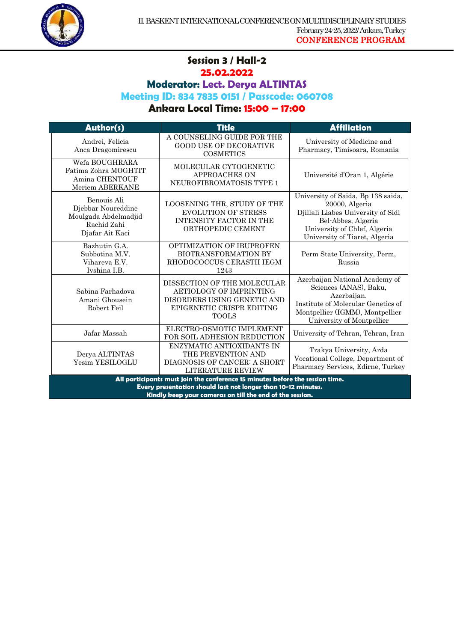

#### **Session 3 / Hall-2 25.02.2022**

1

**Moderator: Lect. Derya ALTINTAS** 

#### **Meeting ID: 834 7835 0151 / Passcode: 060708**

| Author(s)                                                                                                                                                                                                  | <b>Title</b>                                                                                                                              | <b>Affiliation</b>                                                                                                                                                                |
|------------------------------------------------------------------------------------------------------------------------------------------------------------------------------------------------------------|-------------------------------------------------------------------------------------------------------------------------------------------|-----------------------------------------------------------------------------------------------------------------------------------------------------------------------------------|
| Andrei, Felicia<br>Anca Dragomirescu                                                                                                                                                                       | A COUNSELING GUIDE FOR THE<br><b>GOOD USE OF DECORATIVE</b><br><b>COSMETICS</b>                                                           | University of Medicine and<br>Pharmacy, Timisoara, Romania                                                                                                                        |
| Wefa BOUGHRARA<br>Fatima Zohra MOGHTIT<br>Amina CHENTOUF<br>Meriem ABERKANE                                                                                                                                | MOLECULAR CYTOGENETIC<br><b>APPROACHES ON</b><br>NEUROFIBROMATOSIS TYPE 1                                                                 | Université d'Oran 1, Algérie                                                                                                                                                      |
| Benouis Ali<br>Djebbar Noureddine<br>Moulgada Abdelmadjid<br>Rachid Zahi<br>Djafar Ait Kaci                                                                                                                | LOOSENING THR, STUDY OF THE<br><b>EVOLUTION OF STRESS</b><br><b>INTENSITY FACTOR IN THE</b><br>ORTHOPEDIC CEMENT                          | University of Saida, Bp 138 saida,<br>20000, Algeria<br>Djillali Liabes University of Sidi<br>Bel-Abbes, Algeria<br>University of Chlef, Algeria<br>University of Tiaret, Algeria |
| Bazhutin G.A.<br>Subbotina M.V.<br>Vihareva E.V.<br>Ivshina I.B.                                                                                                                                           | <b>OPTIMIZATION OF IBUPROFEN</b><br><b>BIOTRANSFORMATION BY</b><br>RHODOCOCCUS CERASTII IEGM<br>1243                                      | Perm State University, Perm,<br>Russia                                                                                                                                            |
| Sabina Farhadova<br>Amani Ghousein<br>Robert Feil                                                                                                                                                          | DISSECTION OF THE MOLECULAR<br><b>AETIOLOGY OF IMPRINTING</b><br>DISORDERS USING GENETIC AND<br>EPIGENETIC CRISPR EDITING<br><b>TOOLS</b> | Azerbaijan National Academy of<br>Sciences (ANAS), Baku,<br>Azerbaijan.<br>Institute of Molecular Genetics of<br>Montpellier (IGMM), Montpellier<br>University of Montpellier     |
| Jafar Massah                                                                                                                                                                                               | ELECTRO-OSMOTIC IMPLEMENT<br>FOR SOIL ADHESION REDUCTION                                                                                  | University of Tehran, Tehran, Iran                                                                                                                                                |
| Derya ALTINTAS<br>Yesim YESILOGLU                                                                                                                                                                          | ENZYMATIC ANTIOXIDANTS IN<br>THE PREVENTION AND<br>DIAGNOSIS OF CANCER: A SHORT<br><b>LITERATURE REVIEW</b>                               | Trakya University, Arda<br>Vocational College, Department of<br>Pharmacy Services, Edirne, Turkey                                                                                 |
| All participants must join the conference 15 minutes before the session time.<br>Every presentation should last not longer than 10-12 minutes.<br>Kindly keep your cameras on till the end of the session. |                                                                                                                                           |                                                                                                                                                                                   |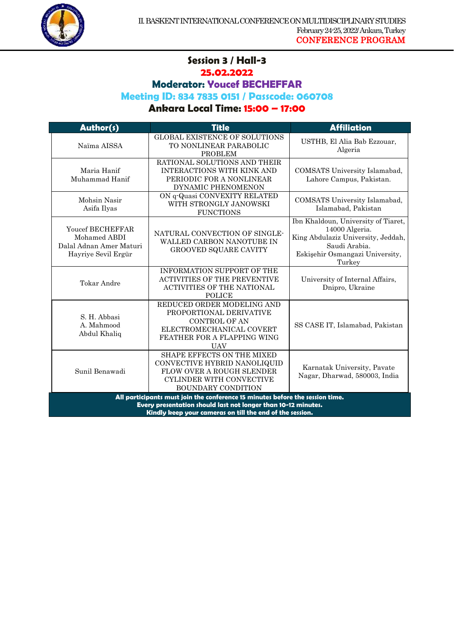

## **Session 3 / Hall-3 25.02.2022**

1

# **Moderator: Youcef BECHEFFAR**

#### **Meeting ID: 834 7835 0151 / Passcode: 060708**

| Author(s)                                                                                                                                      | <b>Title</b>                                                                                                                                           | <b>Affiliation</b>                                                                                                                                        |
|------------------------------------------------------------------------------------------------------------------------------------------------|--------------------------------------------------------------------------------------------------------------------------------------------------------|-----------------------------------------------------------------------------------------------------------------------------------------------------------|
| Naïma AISSA                                                                                                                                    | <b>GLOBAL EXISTENCE OF SOLUTIONS</b><br>TO NONLINEAR PARABOLIC<br><b>PROBLEM</b>                                                                       | USTHB, El Alia Bab Ezzouar,<br>Algeria                                                                                                                    |
| Maria Hanif<br>Muhammad Hanif                                                                                                                  | RATIONAL SOLUTIONS AND THEIR<br><b>INTERACTIONS WITH KINK AND</b><br>PERIODIC FOR A NONLINEAR<br>DYNAMIC PHENOMENON                                    | COMSATS University Islamabad,<br>Lahore Campus, Pakistan.                                                                                                 |
| Mohsin Nasir<br>Asifa Ilyas                                                                                                                    | ON q-Quasi CONVEXITY RELATED<br>WITH STRONGLY JANOWSKI<br><b>FUNCTIONS</b>                                                                             | COMSATS University Islamabad,<br>Islamabad, Pakistan                                                                                                      |
| <b>Youcef BECHEFFAR</b><br>Mohamed ABDI<br>Dalal Adnan Amer Maturi<br>Hayriye Sevil Ergür                                                      | NATURAL CONVECTION OF SINGLE-<br>WALLED CARBON NANOTUBE IN<br>GROOVED SQUARE CAVITY                                                                    | Ibn Khaldoun, University of Tiaret,<br>14000 Algeria.<br>King Abdulaziz University, Jeddah,<br>Saudi Arabia.<br>Eskişehir Osmangazi University,<br>Turkey |
| Tokar Andre                                                                                                                                    | <b>INFORMATION SUPPORT OF THE</b><br><b>ACTIVITIES OF THE PREVENTIVE</b><br>ACTIVITIES OF THE NATIONAL<br><b>POLICE</b>                                | University of Internal Affairs,<br>Dnipro, Ukraine                                                                                                        |
| S. H. Abbasi<br>A. Mahmood<br>Abdul Khaliq                                                                                                     | REDUCED ORDER MODELING AND<br>PROPORTIONAL DERIVATIVE<br><b>CONTROL OF AN</b><br>ELECTROMECHANICAL COVERT<br>FEATHER FOR A FLAPPING WING<br><b>UAV</b> | SS CASE IT, Islamabad, Pakistan                                                                                                                           |
| Sunil Benawadi                                                                                                                                 | SHAPE EFFECTS ON THE MIXED<br>CONVECTIVE HYBRID NANOLIQUID<br>FLOW OVER A ROUGH SLENDER<br>CYLINDER WITH CONVECTIVE<br><b>BOUNDARY CONDITION</b>       | Karnatak University, Pavate<br>Nagar, Dharwad, 580003, India                                                                                              |
| All participants must join the conference 15 minutes before the session time.<br>Every presentation should last not longer than 10-12 minutes. |                                                                                                                                                        |                                                                                                                                                           |
| Kindly keep your cameras on till the end of the session.                                                                                       |                                                                                                                                                        |                                                                                                                                                           |